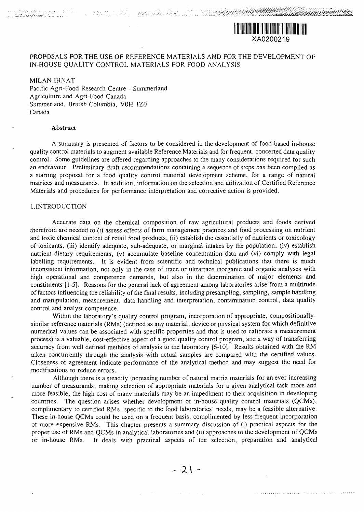# PROPOSALS FOR THE USE OF REFERENCE MATERIALS AND FOR THE DEVELOPMENT OF IN-HOUSE QUALITY CONTROL MATERIALS FOR FOOD ANALYSIS

"••• • ^ *''•••''•-^•^• : ':*

*'--.'-: :*

*^S%- ^*

MILAN IHNAT Pacific Agri-Food Research Centre - Summerland Agriculture and Agri-Food Canada Summerland, British Columbia, VOH 1Z0 Canada

## Abstract

ali (1948), gelijke geledende aan de deelster<br>Lidio (1959) (1968), de een de deelster

A summary is presented of factors to be considered in the development of food-based in-house quality control materials to augment available Reference Materials and for frequent, concerted data quality control. Some guidelines are offered regarding approaches to the many considerations required for such an endeavour. Preliminary draft recommendations containing a sequence of steps has been compiled as a starting proposal for a food quality control material development scheme, for a range of natural matrices and measurands. In addition, information on the selection and utilization of Certified Reference Materials and procedures for performance interpretation and corrective action is provided.

#### I.INTRODUCTION

Accurate data on the chemical composition of raw agricultural products and foods derived therefrom are needed to (i) *assess* effects of farm management practices and food processing on nutrient and toxic chemical content of retail food products, (ii) establish the essentially of nutrients or toxicology of toxicants, (iii) identify adequate, sub-adequate, or marginal intakes by the population, (iv) establish nutrient dietary requirements, (v) accumulate baseline concentration data and (vi) comply with legal labelling requirements. It is evident from scientific and technical publications that there is much inconsistent information, not only in the case of trace or ultratrace inorganic and organic analyses with high operational and competence demands, but also in the determination of major elements and constituents [1-5]. Reasons for the general lack of agreement among laboratories arise from a multitude of factors influencing the reliability of the final results, including presampling, sampling, sample handling and manipulation, measurement, data handling and interpretation, contamination control, data quality control and analyst competence.

Within the laboratory's quality control program, incorporation of appropriate, compositionallysimilar reference materials (RMs) (defined as any material, device or physical system for which definitive numerical values can be associated with specific properties and that is used to calibrate a measurement process) is a valuable, cost-effective aspect of a good quality control program, and a way of transferring accuracy from well defined methods of analysis to the laboratory [6-10]. Results obtained with the RM taken concurrently through the analysis with actual samples are compared with the certified values. Closeness of agreement indicate performance of the analytical method and may suggest the need for modifications to reduce errors.

Although there is a steadily increasing number of natural matrix materials for an ever increasing number of measurands, making selection of appropriate materials for a given analytical task more and more feasible, the high cost of many materials may be an impediment to their acquisition in developing countries. The question arises whether development of in-house quality control materials (QCMs), complimentary to certified RMs, specific to the food laboratories' needs, may be a feasible alternative. These in-house QCMs could be used on a frequent basis, complimented by less frequent incorporation of more expensive RMs. This chapter presents a summary discussion of (i) practical aspects for the proper use of RMs and QCMs in analytical laboratories and (ii) approaches to the development of QCMs or in-house RMs. It deals with practical aspects of the selection, preparation and analytical

المنفخة لمحاول المحاومات فالمتمر والعوالي المراد المتماع والمتحدث والمتماز والمتحدث والمتمر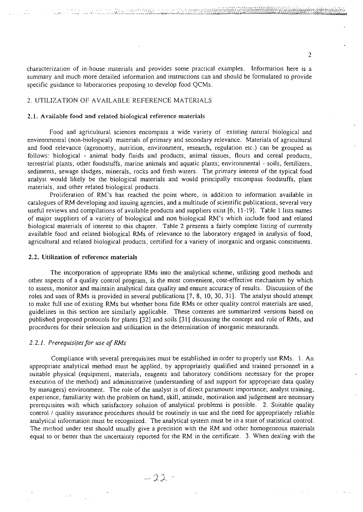characterization of in-house materials and provides some practical examples. Information here is a summary and much more detailed information and instructions can and should be formulated to provide specific guidance to laboratories proposing to develop food QCMs.

**---\*- ^~^~/:.:-.-\*MwAy\_L--^-^^^;^-^^^<^^^^**

# 2. UTILIZATION OF AVAILABLE REFERENCE MATERIALS

**.-^.. — ~"-:**

#### 2.1. Available food and related biological reference materials

Food and agricultural sciences encompass a wide variety of existing natural biological and environmental (non-biological) materials of primary and secondary relevance. Materials of agricultural and food relevance (agronomy, nutrition, environment, research, regulation etc.) can be grouped as follows: biological - animal body fluids and products, animal tissues, flours and cereal products, terrestrial plants, other foodstuffs, marine animals and aquatic plants; environmental - soils, fertilizers, sediments, sewage sludges, minerals, rocks and fresh waters. The primary interest of the typical food analyst would likely be the biological materials and would principally encompass foodstuffs, plant materials, and other related biological products.

Proliferation of RM's has reached the point where, in addition to information available in catalogues of RM developing and issuing agencies, and a multitude of scientific publications, several very useful reviews and compilations of available products and suppliers exist [6, 11-19]. Table 1 lists names of major suppliers of a variety of biological and non biological RM's which include food and related biological materials of interest to this chapter. Table 2 presents a fairly complete listing of currently available food and related biological RMs of relevance to the laboratory engaged in analysis of food, agricultural and related biological products, certified for a variety of inorganic and organic constituents.

## 2.2. Utilization of reference materials

The incorporation of appropriate RMs into the analytical scheme, utilizing good methods and other aspects of a quality control program, is the most convenient, cost-effective mechanism by which to assess, monitor and maintain analytical data quality and ensure accuracy of results. Discussion of the roles and uses of RMs is provided in several publications [7, 8, 10, 30, 31]. The analyst should attempt to make full use of existing RMs but whether bona fide RMs or other quality control materials are used, guidelines in this section are similarly applicable. These contents are summarized versions based on published proposed protocols for plants [32] and soils [31] discussing the concept and role of RMs, and procedures for their selection and utilization in the determination of inorganic measurands.

#### *2.2.1. Prerequisites for use of RMs*

Compliance with several prerequisites must be established in order to properly use RMs. 1. An appropriate analytical method must be applied, by appropriately qualified and trained personnel in a suitable physical (equipment, materials, reagents and laboratory conditions necessary for the proper execution of the method) and administrative (understanding of and support for appropriate data quality by managers) environment. The role of the analyst is of direct paramount importance; analyst training, experience, familiarity with the problem on hand, skill, attitude, motivation and judgement are necessary prerequisites with which satisfactory solution of analytical problems is possible. 2. Suitable quality control / quality assurance procedures should be routinely in use and the need for appropriately reliable analytical information must be recognized. The analytical system must be in a state of statistical control. The method under test should usually give a precision with the RM and other homogeneous materials equal to or better than the uncertainty reported for the RM in the certificate. 3. When dealing with the

 $\overline{2}$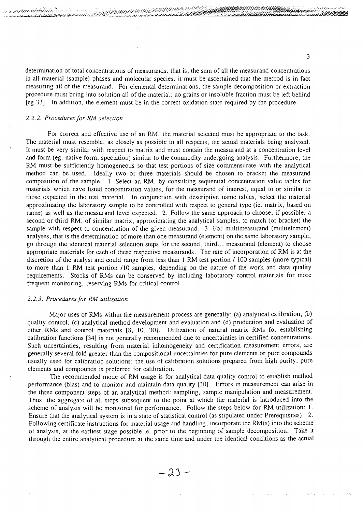determination of total concentrations of measurands, that is, the sum of all the measurand concentrations in all material (sample) phases and molecular species, it must be ascertained that the method is in fact measuring all of the measurand. For elemental determinations, the sample decomposition or extraction procedure must bring into solution all of the material; no grains or insoluble fraction must be left behind [eg 33]. In addition, the element must be in the correct oxidation state required by the procedure.

## *2.2.2. Procedures for RM selection*

For correct and effective use of an RM, the material selected must be appropriate to the task. The material must resemble, as closely as possible in all respects, the actual materials being analyzed. It must be very similar with respect to matrix and must contain the measurand at a concentration level and form (eg. native form, speciation) similar to the commodity undergoing analysis. Furthermore, the RM must be sufficiently homogeneous so that test portions of size commensurate with the analytical method can be used. Ideally two or three materials should be chosen to bracket the measurand composition of the sample. 1. Select an RM, by consulting sequential concentration value tables for materials which have listed concentration values, for the measurand of interest, equal to or similar to those expected in the test material. In conjunction with descriptive name tables, select the material approximating the laboratory sample to be controlled with respect to general type (ie. matrix, based on name) as well as the measurand level expected. 2. Follow the same approach to choose, if possible, a second or third RM, of similar matrix, approximating the analytical samples, to match (or bracket) the sample with respect to concentration of the given measurand. 3. For multimeasurand (multielement) analyses, that is the determination of more than one measurand (element) on the same laboratory sample, go through the identical material selection steps for the second, third... measurand (element) to choose appropriate materials for each of these respective measurands. The rate of incorporation of RM is at the discretion of the analyst and could range from less than 1 RM test portion / 100 samples (more typical) to more than 1 RM test portion /10 samples, depending on the nature of the work and data quality requirements. Stocks of RMs can be conserved by including laboratory control materials for more frequent monitoring, reserving RMs for critical control.

#### *2.2.3. Procedures for RM utilization*

Major uses of RMs within the measurement process are generally: (a) analytical calibration, (b) quality control, (c) analytical method development and evaluation and (d) production and evaluation of other RMs and control materials [8, 10, 30]. Utilization of natural matrix RMs for establishing calibration functions [34] is not generally recommended due to uncertainties in certified concentrations. Such uncertainties, resulting from material inhomogeneity and certification measurement errors, are generally several fold greater than the compositional uncertainties for pure elements or pure compounds usually used for calibration solutions; the use of calibration solutions prepared from high purity, pure elements and compounds is preferred for calibration.

The recommended mode of RM usage is for analytical data quality control to establish method performance (bias) and to monitor and maintain data quality [30]. Errors in measurement can arise in the three component steps of an analytical method: sampling, sample manipulation and measurement. Thus, the aggregate of all steps subsequent to the point at which the material is introduced into the scheme of analysis will be monitored for performance. Follow the steps below for RM utilization: 1. Ensure that the analytical system is in a state of statistical control (as stipulated under Prerequisites). 2. Following certificate instructions for material usage and handling, incorporate the RM(s) into the scheme of analysis, at the earliest stage possible ie. prior to the beginning of sample decomposition. Take it through the entire analytical procedure at the same time and under the identical conditions as the actual

 $-23-$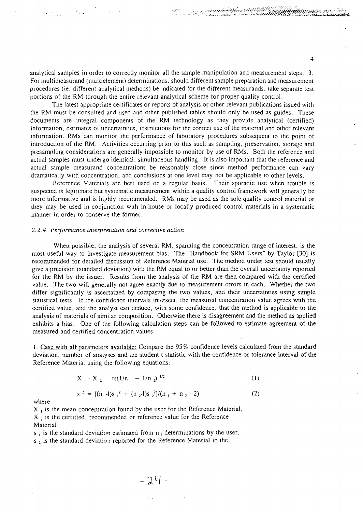analytical samples in order to correctly monitor all the sample manipulation and measurement steps. 3. For multimeasurand (multielement) determinations, should different sample preparation and measurement procedures (ie. different analytical methods) be indicated for the different measurands. take separate test portions of the RM through the entire relevant analytical scheme for proper quality control.

The latest appropriate certificates or reports of analysis or other relevant publications issued with the RM must be consulted and used and other published tables should only be used as guides. These documents are integral components of the RM technology as they provide analytical (certified) information, estimates of uncertainties, instructions for the correct use of the material and other relevant information. RMs can monitor the performance of laboratory procedures subsequent to the point of introduction of the RM. Activities occurring prior to this such as sampling, preservation, storage and presampling considerations are generally impossible to monitor by use of RMs. Both the reference and actual samples must undergo identical, simultaneous handling. It is also important that the reference and actual sample measurand concentrations be reasonably close since method performance can vary dramatically with concentration, and conclusions at one level may not be applicable to other levels.

Reference Materials are best used on a regular basis. Their sporadic use when trouble is suspected is legitimate but systematic measurement within a quality control framework will generally be more informative and is highly recommended. RMs may be used as the sole quality control material or they may be used in conjunction with in-house or locally produced control materials in a systematic manner in order to conserve the former.

#### *2.2.4. Performance interpretation and corrective action*

When possible, the analysis of several RM, spanning the concentration range of interest, is the most useful way to investigate measurement bias. The "Handbook for SRM Users" by Taylor [30] is recommended for detailed discussion of Reference Material use. The method under test should usually give a precision (standard deviation) with the RM equal to or better than the overall uncertainty repotted for the RM by the issuer. Results from the analysis of the RM are then compared with the certified value. The two will generally not agree exactly due to measurement errors in each. Whether the two differ significantly is ascertained by comparing the two values, and their uncertainties using simple statistical tests. If the confidence intervals intersect, the measured concentration value agrees with the certified value, and the analyst can deduce, with some confidence, that the method is applicable to the analysis of materials of similar composition. Otherwise there is disagreement and the method as applied exhibits a bias. One of the following calculation steps can be followed to estimate agreement of the measured and certified concentration values:

1. Case with all- parameters available: Compare the 95% confidence levels calculated from the standard deviation, number of analyses and the student t statistic with the confidence or tolerance interval of the Reference Material using the following equations:

$$
X_1 - X_2 = ts(1/n_1 + 1/n_2)^{1/2}
$$
 (1)

$$
s^{2} = [(n_{1}-1)s_{1}^{2} + (n_{2}-1)s_{2}^{2}]/(n_{1} + n_{2} - 2)
$$
 (2)

where:

 $X<sub>1</sub>$  is the mean concentration found by the user for the Reference Material,  $X$ , is the certified, recommended or reference value for the Reference Material,

 $s_1$  is the standard deviation estimated from  $n_1$  determinations by the user,

 $-24-$ 

s *i* is the standard deviation reported for the Reference Material in the

 $\overline{4}$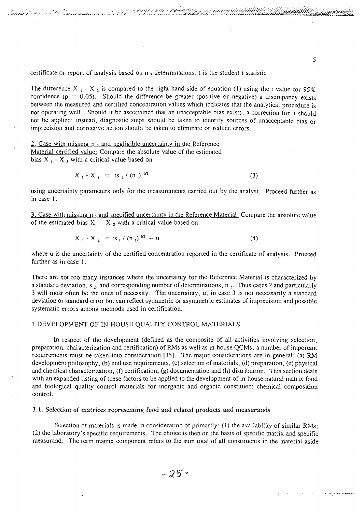certificate or report of analysis based on  $n_2$ , determinations, t is the student t statistic

...,  $\mathcal{C}_{\mathcal{A}}$  : .,  $\mathcal{C}_{\mathcal{A}}$  : .,  $\mathcal{C}_{\mathcal{A}}$  ,  $\mathcal{C}_{\mathcal{A}}$  ,  $\mathcal{C}_{\mathcal{A}}$  ,  $\mathcal{C}_{\mathcal{A}}$  ,  $\mathcal{C}_{\mathcal{A}}$  ,  $\mathcal{C}_{\mathcal{A}}$  ,  $\mathcal{C}_{\mathcal{A}}$  ,  $\mathcal{C}_{\mathcal{A}}$  ,  $\mathcal{C}_{\mathcal{A}}$  ,  $\mathcal{C}_{\mathcal{A}}$  ,  $\mathcal{C$ 

The difference X  $_1$  - X  $_2$  is compared to the right hand side of equation (1) using the t value for 95% confidence ( $p = 0.05$ ). Should the difference be greater (positive or negative) a discrepancy exists between the measured and certified concentration values which indicates that the analytical procedure is not operating well. Should it be ascertained that an unacceptable bias exists, a correction for it should not be applied; instead, diagnostic steps should be taken to identify sources of unacceptable bias or imprecision and corrective action should be taken to eliminate or reduce errors.

unde et del courrier populacions

2. Case with missing n , and negligible uncertainty in the Reference Material certified value: Compare the absolute value of the estimated bias  $X_1 - X_2$  with a critical value based on

$$
X_1 - X_2 = ts_1 / (n_1)^{1/2}
$$
 (3)

using uncertainty parameters only for the measurements carried out by the analyst. Proceed further as in case 1.

3. Case with missing n , and specified uncertainty in the Reference Material: Compare the absolute value of the estimated bias  $X_1 - X_2$  with a critical value based on

$$
X_1 - X_2 = ts_1 / (n_1)^{1/2} + u
$$
 (4)

where u is the uncertainty of the certified concentration reported in the certificate of analysis. Proceed further as in case 1.

There are not too many instances where the uncertainty for the Reference Material is characterized by a standard deviation, s  $_2$ , and corresponding number of determinations, n  $_2$ . Thus cases 2 and particularly 3 will most often be the ones of necessity. The uncertainty, u, in case 3 is not necessarily a standard deviation or standard error but can reflect symmetric or asymmetric estimates of imprecision and possible systematic errors among methods used in certification.

# 3.DEVELOPMENT OF IN-HOUSE QUALITY CONTROL MATERIALS

In respect of the development (defined as the composite of all activities involving selection, preparation, characterization and certification) of RMs as well as in-house QCMs, a number of important requirements must be taken into consideration [35]. The major considerations are in general: (a) RM development philosophy, (b) end use requirements, (c) selection of materials, (d) preparation, (e) physical and chemical characterization, (f) certification, (g) documentation and (h) distribution. This section deals with an expanded listing of these factors to be applied to the development of in-house natural matrix food and biological quality control materials for inorganic and organic constituent chemical composition control.

#### 3.1. Selection of matrices representing food and related products and measurands

Selection of materials is made in consideration of primarily: (1) the availability of similar RMs; (2) the laboratory's specific requirements. The choice is then on the basis of specific matrix and specific measurand. The term matrix component refers to the sum total of all constituents in the material aside

5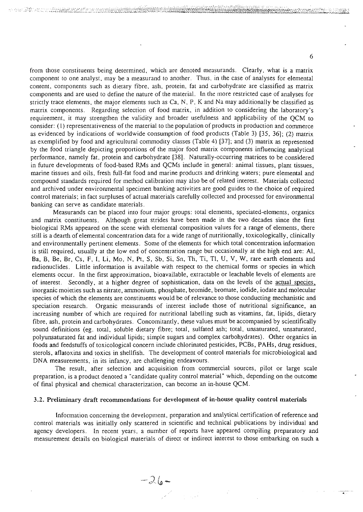from those constituents being determined, which are denoted measurands. Clearly, what is a matrix component to one analyst, may be a measurand to another. Thus, in the case of analyses for elemental content, components such as dietary fibre, ash, protein, fat and carbohydrate are classified as matrix components and are used to define the nature of the material. In the more restricted case of analyses for strictly trace elements, the major elements such as Ca, N, P. K and Na may additionally be classified as matrix components. Regarding selection of food matrix, in addition to considering the laboratory's requirement, it may strengthen the validity and broader usefulness and applicability of the QCM to consider: (I) representativeness of the material to the population of products in production and commerce as evidenced by indications of worldwide consumption of food products (Table 3) [35, 36]; (2) matrix as exemplified by food and agricultural commodity classes (Table 4) [37]; and (3) matrix as represented by the food triangle depicting proportions of the major food matrix components influencing analytical performance, namely fat, protein and carbohydrate [38]. Naturally-occurring matrices to be considered in future developments of food-based RMs and QCMs include in general: animal tissues, plant tissues, marine tissues and oils, fresh full-fat food and marine products and drinking waters; pure elemental and compound standards required for method calibration may also be of related interest. Materials collected and archived under environmental specimen banking activities are good guides to the choice of required control materials; in fact surpluses of actual materials carefully collected and processed for environmental banking can serve as candidate materials.

maar 22 waa middelee heefter

Measurands can be placed into four major groups: total elements, speciated-elements, organics and matrix constituents. Although great strides have been made in the two decades since the first biological RMs appeared on the scene with elemental composition values for a range of elements, there still is a dearth of elemental concentration data for a wide range of nutritionally, toxicologically, clinically and environmentally pertinent elements. Some of the elements for which total concentration information is still required, usually at the low end of concentration range but occasionally at the high end are: Al, Ba, B, Be, Br, Cs, F, I, Li, Mo, N, Pt, S, Sb, Si, Sn, Th, Ti, Tl, U, V, W, rare earth elements and radionuclides. Little information is available with respect to the chemical forms or species in which elements occur. In the first approximation, bioavailable, extractable or leachable levels of elements are of interest. Secondly, at a higher degree of sophistication, data on the levels of the actual species. inorganic moieties such as nitrate, ammonium, phosphate, bromide, bromate, iodide, iodate and molecular species of which the elements are constituents would be of relevance to those conducting mechanistic and speciation research. Organic measurands of interest include those of nutritional significance, an increasing number of which are required for nutritional labelling such as vitamins, fat, lipids, dietary fibre, ash, protein and carbohydrates. Concomitantly, these values must be accompanied by scientifically sound definitions (eg. total, soluble dietary fibre; total, sulfated ash; total, unsaturated, unsaturated, polyunsaturated fat and individual lipids; simple sugars and complex carbohydrates). Other organics in foods and feedstuffs of toxicological concern include chlorinated pesticides, PCBs, PAHs, drug residues, sterols, aflatoxins and toxics in shellfish. The development of control materials for microbiological and DNA measurements, in its infancy, are challenging endeavours.

The result, after selection and acquisition from commercial sources, pilot or large scale preparation, is a product denoted a "candidate quality control material" which, depending on the outcome of final physical and chemical characterization, can become an in-house QCM.

#### 3.2. Preliminary draft recommendations for development of **in-house** quality control **materials**

 $-26-$ 

Information concerning the development, preparation and analytical certification of reference and control materials was initially only scattered in scientific and technical publications by individual and agency developers. In recent years, a number of reports have appeared compiling preparatory and measurement details on biological materials of direct or indirect interest to those embarking on such a

 $\label{eq:2.1} \frac{1}{\sqrt{2}}\sum_{i=1}^N\frac{1}{\sqrt{2}}\left(\frac{1}{\sqrt{2}}\right)^2\frac{1}{\sqrt{2}}\left(\frac{1}{\sqrt{2}}\right)^2.$ 

6

angaro o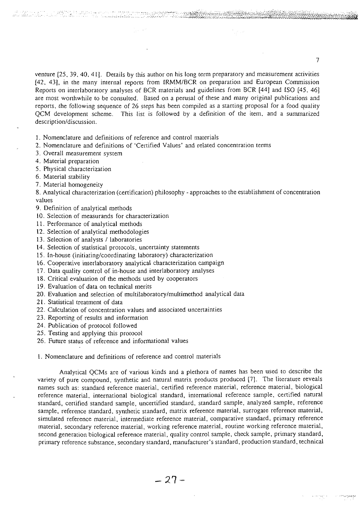venture [25, 39, 40, 41]. Details by this author on his long term preparatory and measurement activities [42, 43], in the many internal reports from [RMM/BCR on preparation and European Commission Reports on interlaboratory analyses of BCR materials and guidelines from BCR [44] and ISO [45, 46] are most worthwhile to be consulted. Based on a perusal of these and many original publications and reports, the following sequence of 26 steps has been compiled as a starting proposal for a food quality QCM development scheme. This list is followed by a definition of the item, and a summarized description/discussion.

1. Nomenclature and definitions of reference and control materials

- 2. Nomenclature and definitions of 'Certified Values' and related concentration terms
- 3. Overall measurement system
- 4. Material preparation
- 5. Physical characterization
- 6. Material stability
- 7. Material homogeneity

8. Analytical characterization (certification) philosophy - approaches to the establishment of concentration values

- 9. Definition of analytical methods
- 10. Selection of measurands for characterization
- 11. Performance of analytical methods
- 12. Selection of analytical methodologies
- 13. Selection of analysts / laboratories
- 14. Selection of statistical protocols, uncertainty statements
- 15. In-house (initiating/coordinating laboratory) characterization
- 16. Cooperative interlaboratory analytical characterization campaign
- 17. Data quality control of in-house and interlaboratory analyses
- 18. Critical evaluation of the methods used by cooperators
- 19. Evaluation of data on technical merits
- 20. Evaluation and selection of multilaboratory/multimethod analytical data
- 21. Statistical treatment of data
- 22. Calculation of concentration values and associated uncertainties
- 23. Reporting of results and information
- 24. Publication of protocol followed
- 25. Testing and applying this protocol
- 26. Future status of reference and informational values

1. Nomenclature and definitions of reference and control materials

Analytical QCMs are of various kinds and a plethora of names has been used to describe the variety of pure compound, synthetic and natural matrix products produced [7]. The literature reveals names such as: standard reference material, certified reference material, reference material, biological reference material, international biological standard, international reference sample, certified natural standard, certified standard sample, uncertified standard, standard sample, analyzed sample, reference sample, reference standard, synthetic standard, matrix reference material, surrogate reference material, simulated reference material, intermediate reference material, comparative standard, primary reference material, secondary reference material, working reference material, routine working reference material, second generation biological reference material, quality control sample, check sample, primary standard, primary reference substance, secondary standard, manufacturer's standard, production standard, technical

 $-27-$ 

 $\overline{7}$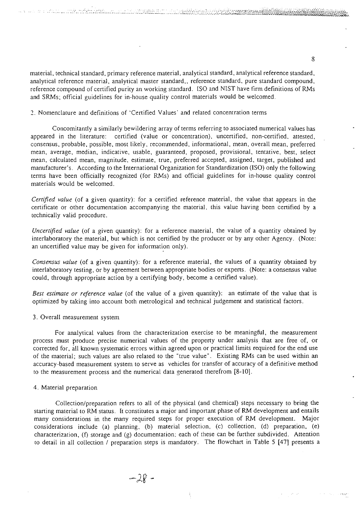material, technical standard, primary reference material, analytical standard, analytical reference standard, analytical reference material, analytical master standard,, reference standard, pure standard compound, reference compound of certified purity an working standard. ISO and NIST have firm definitions of RMs and SRMs; official guidelines for in-house quality control materials would be welcomed.

# 2. Nomenclature and definitions of 'Certified Values' and related concentration terms

Concomitantly a similarly bewildering array of terms referring to associated numerical values has appeared in the literature: certified (value or concentration), uncertified, non-certified, attested, consensus, probable, possible, most likely, recommended, informational, mean, overall mean, preferred mean, average, median, indicative, usable, guaranteed, proposed, provisional, tentative, best, select mean, calculated mean, magnitude, estimate, true, preferred accepted, assigned, target, published and manufacturer's. According to the International Organization for Standardization (ISO) only the following terms have been officially recognized (for RMs) and official guidelines for in-house quality control materials would be welcomed.

*Certified value* (of a given quantity): for a certified reference material, the value that appears in the certificate or other documentation accompanying the material, this value having been certified by a technically valid procedure.

*Uncertified value* (of a given quantity): for a reference material, the value of a quantity obtained by interlaboratory the material, but which is not certified by the producer or by any other Agency. (Note: an uncertified value may be given for information only).

*Consensus value* (of a given quantity): for a reference material, the values of a quantity obtained by interlaboratory testing, or by agreement between appropriate bodies or experts. (Note: a consensus value could, through appropriate action by a certifying body, become a certified value).

*Best estimate or reference value* (of the value of a given quantity): an estimate of the value that is optimized by taking into account both metrological and technical judgement and statistical factors.

#### 3. Overall measurement system

<u>an an de de Branch (Britannia, Branch (Branch II)</u>

For analytical values from the characterization exercise to be meaningful, the measurement process must produce precise numerical values of the property under analysis that are free of, or corrected for, all known systematic errors within agreed upon or practical limits required for the end use of the material; such values are also related to the "true value". Existing RMs can be used within an accuracy-based measurement system to serve as vehicles for transfer of accuracy of a definitive method to the measurement process and the numerical data generated therefrom [8-10].

#### 4. Material preparation

Collection/preparation refers to all of the physical (and chemical) steps necessary to bring the starting material to RM status. It constitutes a major and important phase of RM development and entails many considerations in the many required steps for proper execution of RM development. Major considerations include (a) planning, (b) material selection, (c) collection, (d) preparation, (e) characterization, (f) storage and (g) documentation; each of these can be further subdivided. Attention to detail in all collection / preparation steps is mandatory. The flowchart in Table 5 [47] presents a

 $-28-$ 

8

 $\epsilon\bar{s}\rho\bar{\omega}$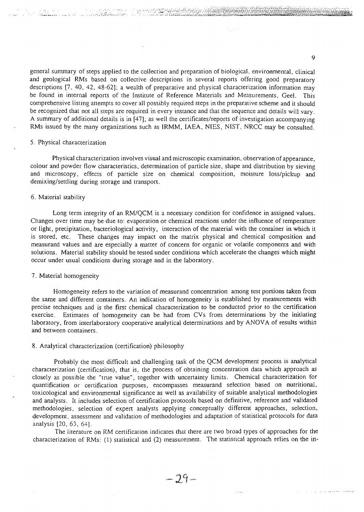general summary of steps applied to the collection and preparation of biological, environmental, clinical and geological RMs based on collective descriptions in several reports offering good preparatory descriptions [7. 40, 42, 48-62]; a wealth of preparative and physical characterization information may be found in internal reports of the Institute of Reference Materials and Measurements, Geel. This comprehensive listing attempts to cover all possibly required steps in the preparative scheme and it should be recognized that not all steps are required in every instance and that the sequence and details will vary. A summary of additional details is in [47]; as well the certificates/reports of investigation accompanying RMs issued by the many organizations such as IRMM, IAEA, NIES, NIST, NRCC may be consulted.

# 5. Physical characterization

المعارف بمصرفة<br>الجيابي بيونيا في وزير وزير

Physical characterization involves visual and microscopic examination, observation of appearance, colour and powder flow characteristics, determination of particle size, shape and distribution by sieving and microscopy, effects of particle size on chemical composition, moisture loss/pickup and demixing/settling during storage and transport.

# 6. Material stability

Long term integrity of an RM/QCM is a necessary condition for confidence in assigned values. Changes over time may be due to: evaporation or chemical reactions under the influence of temperature or light, precipitation, bacteriological activity, interaction of the material with the container in which it is stored, etc. These changes may impact on the matrix physical and chemical composition and measurand values and are especially a matter of concern for organic or volatile components and with solutions. Material stability should be tested under conditions which accelerate the changes which might occur under usual conditions during storage and in the laboratory.

# 7. Material homogeneity

Homogeneity refers to the variation of measurand concentration among test portions taken from the same and different containers. An indication of homogeneity is established by measurements with precise techniques and is the first chemical characterization to be conducted prior to the certification exercise. Estimates of homogeneity can be had from CVs from determinations by the initiating laboratory, from interlaboratory cooperative analytical determinations and by ANOVA of results within and between containers.

# 8. Analytical characterization (certification) philosophy

Probably the most difficult and challenging task of the QCM development process is analytical characterization (certification), that is, the process of obtaining concentration data which approach as closely as possible the "true value", together with uncertainty limits. Chemical characterization for quantification or certification purposes, encompasses measurand selection based on nutritional, toxicological and environmental significance as well as availability of suitable analytical methodologies and analysts. It includes selection of certification protocols based on definitive, reference and validated methodologies, selection of expert analysts applying conceptually different approaches, selection, development, assessment and validation of methodologies and adaptation of statistical protocols for data analysis (20, 63, 64].

The literature on RM certification indicates that there are two broad types of approaches for the characterization of RMs: (I) statistical and (2) measurement. The statistical approach relies on the in-

 $\ddot{Q}$ 

فوضحه المعقدقديد فالردادان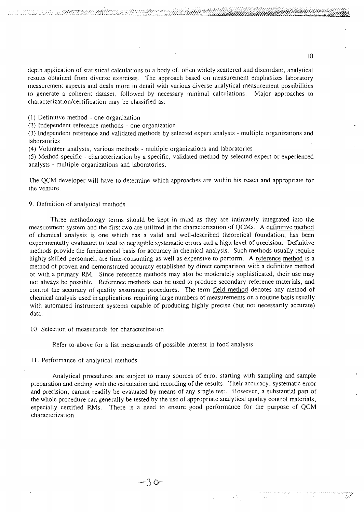depth application of statistical calculations to a body of, often widely scattered and discordant, analytical results obtained from diverse exercises. The approach based on measurement emphasizes laboratory measurement aspects and deals more in detail with various diverse analytical measurement possibilities to generate a coherent dataset, followed by necessary minimal calculations. Major approaches to characterization/certification may be classified as:

(1) Definitive method - one organization

(2) Independent reference methods - one organization

(3) Independent reference and validated methods by selected expert analysts - multiple organizations and laboratories

(4) Volunteer analysts, various methods - multiple organizations and laboratories

-•••-—'- \* --•--:..-.-.—.-.---.--.-.-.-. • --,---.-vw^->.-;-;•:•• t;- : .^/^.>>:.:^^:<sup>I</sup> ::VV/.:W^V.V^VAV-:O.V.'.^V^J^

(5) Method-specific - characterization by a specific, validated method by selected expert or experienced analysts - multiple organizations and laboratories.

The QCM developer will have to determine which approaches are within his reach and appropriate for the venture.

# 9. Definition of analytical methods

Three methodology terms should be kept in mind as they are intimately integrated into the measurement system and the first two are utilized in the characterization of QCMs. A definitive method of chemical analysis is one which has a valid and well-described theoretical foundation, has been experimentally evaluated to lead to negligible systematic errors and a high level of precision. Definitive methods provide the fundamental basis for accuracy in chemical analysis. Such methods usually require highly skilled personnel, are time-consuming as well as expensive to perform. A reference method is a method of proven and demonstrated accuracy established by direct comparison with a definitive method or with a primary RM. Since reference methods may also be moderately sophisticated, their use may not always be possible. Reference methods can be used to produce secondary reference materials, and control the accuracy of quality assurance procedures. The term field method denotes any method of chemical analysis used in applications requiring large numbers of measurements on a routine basis usually with automated instrument systems capable of producing highly precise (but not necessarily accurate) data.

10. Selection of measurands for characterization

Refer to-above for a list measurands of possible interest in food analysis.

#### 11. Performance of analytical methods

Analytical procedures are subject to many sources of error starting with sampling and sample preparation and ending with the calculation and recording of the results. Their accuracy, systematic error and precision, cannot readily be evaluated by means of any single test. However, a substantial part of the whole procedure can generally be tested by the use of appropriate analytical quality control materials, especially certified RMs. There is a need to ensure good performance for the purpose of QCM characterization.

 $\mathbb{R}^n \times \mathbb{R}^n$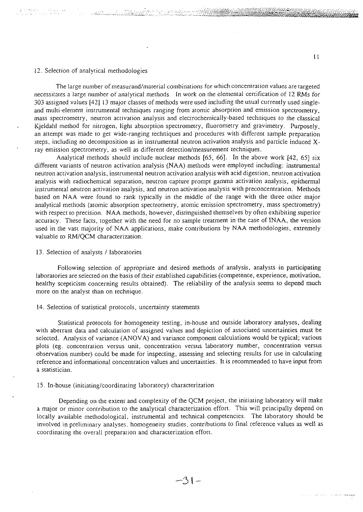# 12. Selection of analytical methodologies

The large number of measurand/material combinations for which concentration values are targeted necessitates a large number of analytical methods. In work on the elemental certification of 12 RMs for 303 assigned values [42] 13 major classes of methods were used including the usual currently used singleand multi-element instrumental techniques ranging from atomic absorption and emission spectrometry, mass spectrometry, neutron activation analysis and electrochemically-based techniques to the classical Kjeldahl method for nitrogen, light absorption spectrometry, fluorometry and gravimetry. Purposely, an attempt was made to get wide-ranging techniques and procedures with different sample preparation steps, including no decomposition as in instrumental neutron activation analysis and particle induced Xray emission spectrometry, as well as different detection/measurement techniques.

 $\epsilon$  ,  $\epsilon$  ,  $\epsilon$  ,  $\epsilon$  ,  $\epsilon$  ,  $\epsilon$  ,  $\epsilon$  ,  $\epsilon$  ,  $\epsilon$  ,  $\epsilon$  ,  $\epsilon$  is a set of  $\epsilon$  is a set of  $\epsilon$  is a set of  $\epsilon$  is a set of  $\epsilon$  is a set of  $\epsilon$  is a set of  $\epsilon$  is a set of  $\epsilon$  is a set of  $\epsilon$  is a set o

Analytical methods should include nuclear methods [65, *66].* In the above work [42, 65] six different variants of neutron activation analysis (NAA) methods were employed including: instrumental neutron activation analysis, instrumental neutron activation analysis with acid digestion, neutron activation analysis with radiochemical separation, neutron capture prompt gamma activation analysis, epithermal instrumental neutron activation analysis, and neutron activation analysis with preconcentration. Methods based on NAA were found to rank typically in the middle of the range with the three other major analytical methods (atomic absorption spectrometry, atomic emission spectrometry, mass spectrometry) with respect to precision. NAA methods, however, distinguished themselves by often exhibiting superior accuracy. These facts, together with the need for no sample treatment in the case of INAA, the version used in the vast majority of NAA applications, make contributions by NAA methodologies, extremely valuable to RM/QCM characterization.

#### 13. Selection of analysts / laboratories

Following selection of appropriate and desired methods of analysis, analysts in participating laboratories are selected on the basis of their established capabilities (competence, experience, motivation, healthy scepticism concerning results obtained). The reliability of the analysis seems to depend much more on the analyst than on technique.

#### 14. Selection of statistical protocols, uncertainty statements

Statistical protocols for homogeneity testing, in-house and outside laboratory analyses, dealing with aberrant data and calculation of assigned values and depiction of associated uncertainties must be selected. Analysis of variance (ANOVA) and variance component calculations would be typical; various plots (eg. concentration versus unit, concentration versus laboratory number, concentration versus observation number) could be made for inspecting, assessing and selecting results for use in calculating reference and informational concentration values and uncertainties. It is recommended to have input from a statistician.

## 15. In-house (initiating/coordinating laboratory) characterization

Depending on the extent and complexity of the QCM project, the initiating laboratory will make a major or minor contribution to the analytical characterization effort. This will principally depend on locally available methodological, instrumental and technical competencies. The laboratory should be involved in preliminary analyses, homogeneity studies, contributions to final reference values as well as coordinating the overall preparation and characterization effort.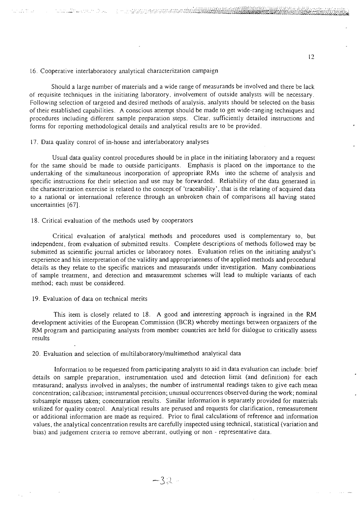16. Cooperative interlaboratory analytical characterization campaign

THIN IN THE REAL PROPERTY AND LONGED AND

tion of the se

Should a large number of materials and a wide range of measurands be involved and there be lack of requisite techniques in the initiating laboratory, involvement of outside analysts will be necessary. Following selection of targeted and desired methods of analysis, analysts should be selected on the basis of their established capabilities. A conscious attempt should be made to get wide-ranging techniques and procedures including different sample preparation steps. Clear, sufficiently detailed instructions and forms for reporting methodological details and analytical results are to be provided.

## 17. Data quality control of in-house and interlaboratory analyses

Usual data quality control procedures should be in place in the initiating laboratory and a request for the same should be made to outside participants. Emphasis is placed on the importance to the undertaking of the simultaneous incorporation of appropriate RMs into the scheme of analysis and specific instructions for their selection and use may be forwarded. Reliability of the data generated in the characterization exercise is related to the concept of 'traceability', that is the relating of acquired data to a national or international reference through an unbroken chain of comparisons all having stated uncertainties [67].

# 18. Critical evaluation of the methods used by cooperators

Critical evaluation of analytical methods and procedures used is complementary to. but independent, from evaluation of submitted results. Complete descriptions of methods followed may be submitted as scientific journal articles or laboratory notes. Evaluation relies on the initiating analyst's experience and his interpretation of the validity and appropriateness of the applied methods and procedural details as they relate to the specific matrices and measurands under investigation. Many combinations of sample treatment, and detection and measurement schemes will lead to multiple variants of each method; each must be considered.

## 19. Evaluation of data on technical merits

This item is closely related to 18. A good and interesting approach is ingrained in the RM development activities of the European Commission (BCR) whereby meetings between organizers of the RM program and participating analysts from member countries are held for dialogue to critically assess results

20. Evaluation and selection of multilaboratory/multimethod analytical data

Information to be requested from participating analysts to aid in data evaluation can include: brief details on sample preparation, instrumentation used and detection limit (and definition) for each measurand; analysts involved in analyses; the number of instrumental readings taken to give each mean concentration; calibration; instrumental precision; unusual occurrences observed during the work; nominal subsample masses taken; concentration results. Similar information is separately provided for materials utilized for quality control. Analytical results are perused and requests for clarification, remeasurement or additional information are made as required. Prior to final calculations of reference and information values, the analytical concentration results are carefully inspected using technical, statistical (variation and bias) and judgement criteria to remove aberrant, outlying or non - representative data.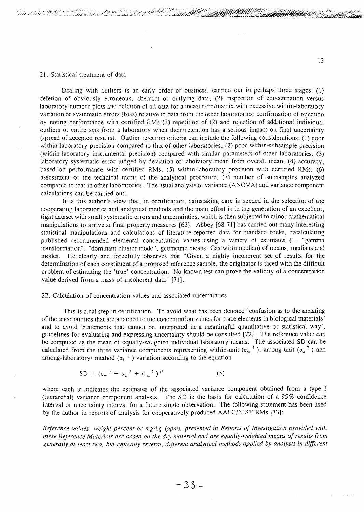#### 21. Statistical treatment of data

್ ನೌನ್ಯಾಮಿಷ್ಯನಿಂದು ರಾಜಾನ್ಯೋ

Dealing with outliers is an early order of business, carried out in perhaps three stages: (1) deletion of obviously erroneous, aberrant or outlying data, (2) inspection of concentration versus laboratory number plots and deletion of all data for a measurand/matrix with excessive within-laboratory variation or systematic errors (bias) relative to data from the other laboratories: confirmation of rejection by noting performance with certified RMs (3) repetition of (2) and rejection of additional individual outliers or entire sets from a laboratory when their-retention has a serious impact on final uncertainty (spread of accepted results). Outlier rejection criteria can include the following considerations: (1) poor within-laboratory precision compared to that of other laboratories, (2) poor within-subsample precision (within-laboratory instrumental precision) compared with similar parameters of other laboratories, (3) laboratory systematic error judged by deviation of laboratory mean from overall mean, (4) accuracy, based on performance with certified RMs, (5) within-laboratory precision with certified RMs, (6) assessment of the technical merit of the analytical procedure, (7) number of subsamples analyzed compared to that in other laboratories. The usual analysis of variance (ANOVA) and variance component calculations can be carried out.

It is this author's view that, in certification, painstaking care is needed in the selection of the cooperating laboratories and analytical methods and the main effort is in the generation of an excellent, tight dataset with small systematic errors and uncertainties, which is then subjected to minor mathematical manipulations to arrive at final property measures [63]. Abbey [68-71] has carried out many interesting statistical manipulations and calculations of literature-reported data for standard rocks, recalculating published recommended elemental concentration values using a variety of estimates (... "gamma transformation", "dominant cluster mode", geometric means, Gastwirth median) of means, medians and modes. He clearly and forcefully observes that "Given a highly incoherent set of results for the determination of each constituent of a proposed reference sample, the originator is faced with the difficult problem of estimating the 'true' concentration. No known test can prove the validity of a concentration value derived from a mass of incoherent data" [71].

#### 22. Calculation of concentration values and associated uncertainties

This is final step in certification. To avoid what has been denoted 'confusion as to the meaning of the uncertainties that are attached to the concentration values for trace elements in biological materials' and to avoid 'statements that cannot be interpreted in a meaningful quantitative or statistical way', guidelines for evaluating and expressing uncertainty should be consulted [72]. The reference value can be computed as the mean of equally-weighted individual laboratory means. The associated SD can be calculated from the three variance components representing within-unit ( $\sigma_w^2$ ), among-unit ( $\sigma_u^2$ ) and among-laboratory/ method ( $\sigma_L^{-2}$ ) variation according to the equation

$$
SD = (\sigma_w^2 + \sigma_u^2 + \sigma_L^2)^{1/2}
$$
 (5)

where each  $\sigma$  indicates the estimates of the associated variance component obtained from a type I (hierarchal) variance component analysis. The SD is the basis for calculation of a 95% confidence interval or uncertainty interval for a future single observation. The following statement has been used by the author in reports of analysis for cooperatively produced AAFC/NIST RMs [73]:

*Reference values, weight percent or mg/kg (ppm), presented in Reports of Investigation provided with these Reference Materials are based on the dry material and are equally-weighted means of results from generally at least two, but typically several, different analytical methods applied by analysts in different*

13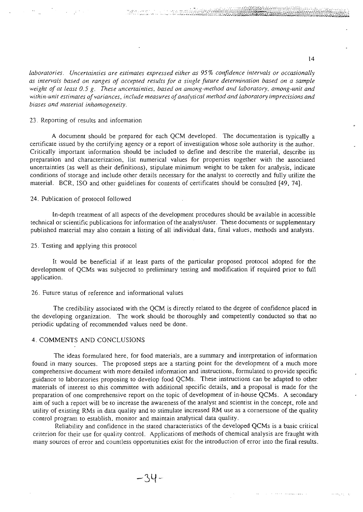*laboratories. Uncertainties are estimates expressed either as 95% confidence intervals or occasionally as intervals based on ranges of accepted results for a single future determination based on a sample weight of at least 0.5 g. These uncertainties, based on among-method and laboratory, among-unit and withm-unit estimates of variances, include measures of analytical method and laboratory imp recisions and biases and material inhomogeneity.*

# 23. Reporting of results and information

A document should be prepared for each QCM developed. The documentation is typically a certificate issued by the certifying agency or a report of investigation whose sole authority is the author. Critically important information should be included to define and describe the material, describe its preparation and characterization, list numerical values for properties together with the associated uncertainties (as well as their definitions), stipulate minimum weight to be taken for analysis, indicate conditions of storage and include other details necessary for the analyst to correctly and fully utilize the material. BCR, ISO and other guidelines for contents of certificates should be consulted (49, 74].

## 24. Publication of protocol followed

In-depth treatment of all aspects of the development procedures should be available in accessible technical or scientific publications for information of the analyst/user. These documents or supplementary published material may also contain a listing of all individual data, final values, methods and analysts.

25. Testing and applying this protocol

It would be beneficial if at least parts of the particular proposed protocol adopted for the development of QCMs was subjected to preliminary testing and modification if required prior to full application.

#### 26. Future status of reference and informational values

The credibility associated with the QCM is directly related to the degree of confidence placed in the developing organization. The work should be thoroughly and competently conducted so that no periodic updating of recommended values need be done.

## 4. COMMENTS AND CONCLUSIONS

The ideas formulated here, for food materials, are a summary and interpretation of information found in many sources. The proposed steps are a starting point for the development of a much more comprehensive document with more detailed information and instructions, formulated to provide specific guidance to laboratories proposing to develop food QCMs. These instructions can be adapted to other materials of interest to this committee with additional specific details, and a proposal is made for the preparation of one comprehensive report on the topic of development of in-house QCMs. A secondary aim of such a report will be to increase the awareness of the analyst and scientist in the concept, role and utility of existing RMs in data quality and to stimulate increased RM use as a cornerstone of the quality control program to establish, monitor and maintain analytical data quality.

Reliability and confidence in the stated characteristics of the developed QCMs is a basic critical criterion for their use for quality control. Applications of methods of chemical analysis are fraught with many sources of error and countless opportunities exist for the introduction of error into the final results.

\*\*\*\*\*\*\*\*\*\*\*\*\*\*\*\*\*\*\*\*\*\*\*\*\*\*\*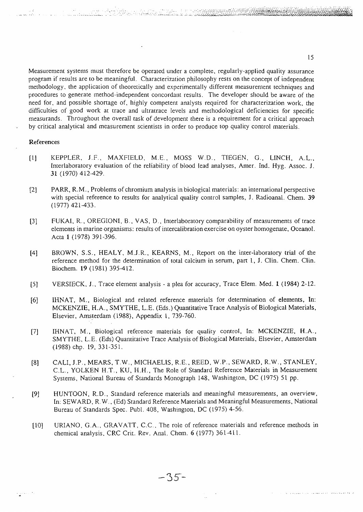Measurement systems must therefore be operated under a complete, regularly-applied quality assurance program if results are to be meaningful. Characterization philosophy rests on the concept of independent methodology, the application of theoretically and experimentally different measurement techniques and procedures to generate method-independent concordant results. The developer should be aware of the need for, and possible shortage of, highly competent analysts required for characterization work, the difficulties of good work at trace and ultratrace levels and methodological deficiencies for specific measurands. Throughout the overall task of development there is a requirement for a critical approach by critical analytical and measurement scientists in order to produce top quality control materials.

**'** *''''•".'• '.•'•'•••:* **•'-• • •'••'•• •'.•••'..i .'•'.".•. v ' :- : - ; ;. : . ^vv'-W^/^A-V^- ^**

#### References

- [1] KEPPLER, J.F., MAXFIELD, M.E., MOSS W.D., TIEGEN, G., LINCH, A.L., [nterlaboratory evaluation of the reliability of blood lead analyses, Amer. Ind. Hyg. Assoc. *J.* 31 (1970) 412-429.
- [2] PARR, R.M., Problems of chromium analysis in biological materials: an international perspective with special reference to results for analytical quality control samples, J. Radioanal. Chem. 39 (1977)421-433.
- [3] FlfKAI, R., OREGIONI, B., VAS, D., [nterlaboratory comparability of measurements of trace elements in marine organisms: results of intercalibration exercise on oyster homogenate, Oceanol. Acta 1 (1978) 391-396.
- [4] BROWN, S.S., HEALY, M.J.R., KEARNS, M., Report on the inter-laboratory trial of the reference method for the determination of total calcium in serum, part 1, J. Clin. Chem. Clin. Biochem. 19(1981) 395-412.
- [5] VERSIECK, J., Trace element analysis a plea for accuracy, Trace Elem. Med. 1 (1984) 2-12.
- [6] IHNAT, M., Biological and related reference materials for determination of elements, In: MCKENZIE, H.A., SMYTHE, L.E. (Eds.) Quantitative Trace Analysis of Biological Materials, Elsevier, Amsterdam (1988), Appendix 1, 739-760.
- [7] IHNAT, M., Biological reference materials for quality control, In: MCKENZIE, H.A., SMYTHE, L.E. (Eds) Quantitative Trace Analysis of Biological Materials, Elsevier, Amsterdam (1988) chp. 19, 331-351.
- [8] CALI, J.P., MEARS, T.W., MICHAELIS, R.E., REED, W.P., SEWARD, R.W., STANLEY, C.L., YOLKEN H.T., KU, H.H., The Role of Standard Reference Materials in Measurement Systems, National Bureau of Standards Monograph 148, Washington, DC (1975) 51 pp.
- [9] HUNTOON, R.D., Standard reference materials and meaningful measurements, an overview, In: SEWARD, R. W., (Ed) Standard Reference Materials and Meaningful Measurements, National Bureau of Standards Spec. Publ. 408, Washington, DC (1975) 4-56.
- [10] URIANO, G.A., GRAVATT, C.C., The role of reference materials and reference methods in chemical analysis, CRC Crit. Rev. Anal. Chem. 6 (1977) 361-411.

a production of the past of the construction of the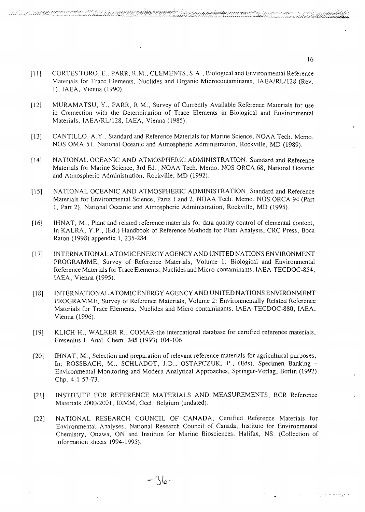- (llj CORTESTORO. E..PARR, R.M., CLEMENTS, S.A., Biological and Environmental Reference Materials tor Trace Elements, Nuclides and Organic Microcontaminants, IAEA/RL/128 (Rev. 1), IAEA, Vienna (1990).
- [12] MURAMATSU, Y., PARR, R.M., Survey of Currently Available Reference Materials for use in Connection with the Determination of Trace Elements in Biological and Environmental Materials, IAEA/RL/128, IAEA, Vienna (1985).
- [13] CANTILLO, A.Y., Standard and Reference Materials for Marine Science, NOAA Tech. Memo. NOS OMA 51, National Oceanic and Atmospheric Administration, Rockville, MD (1989).
- [14] NATIONAL OCEANIC AND ATMOSPHERIC ADMINISTRATION, Standard and Reference Materials for Marine Science, 3rd Ed., NOAA Tech. Memo. NOS ORCA 68, National Oceanic and Atmospheric Administration, Rockville, MD (1992).
- [15] NATIONAL OCEANIC AND ATMOSPHERIC ADMINISTRATION, Standard and Reference Materials for Environmental Science, Parts 1 and 2, NOAA Tech. Memo. NOS ORCA 94 (Part 1, Part 2), National Oceanic and Atmospheric Administration, Rockville, MD (1995).
- [16] IHNAT, M., Plant and related reference materials for data quality control of elemental content, In KALRA, Y.P., (Ed.) Handbook of Reference Methods for Plant Analysis, CRC Press, Boca Raton (1998) appendix I, 235-284.
- [17] INTERNATIONAL ATOMIC ENERGY AGENCY AND UNITED NATIONS ENVIRONMENT PROGRAMME, Survey of Reference Materials, Volume I: Biological and Environmental Reference Materials for Trace Elements, Nuclides and Micro-contaminants, IAEA-TECDOC-854, IAEA, Vienna (1995).
- [ 18] INTERNATIONAL ATOMIC ENERGY AGENCY AND UNITED NATIONS ENVIRONMENT PROGRAMME, Survey of Reference Materials, Volume 2: Environmentally Related Reference Materials for Trace Elements, Nuclides and Micro-contaminants, IAEA-TECDOC-880, IAEA, Vienna (1996).
- [19] KLICH H., WALKER R., COMAR-the international database for certified reference materials, Fresenius J. Anal. Chem. 345 (1993) 104-106.
- [20] IHNAT, M., Selection and preparation of relevant reference materials for agricultural purposes, In: ROSSBACH, M., SCHLADOT, J.D., OSTAPCZUK, P., (Eds), Specimen Banking - Environmental Monitoring and Modern Analytical Approaches, Springer-Verlag, Berlin (1992) Chp. 4.1 57-73.
- [21] INSTITUTE FOR REFERENCE MATERIALS AND MEASUREMENTS, BCR Reference Materials 2000/2001, IRMM, Geel, Belgium (undated).
- [22] NATIONAL RESEARCH COUNCIL OF CANADA, Certified Reference Materials for Environmental Analyses, National Research Council of Canada, Institute for Environmental Chemistry, Ottawa, ON and Institute for Marine Biosciences, Halifax, NS. (Collection of information sheets 1994-1995).

16

**-••-•--"-••--••------.-.---.\_-.v-i%-\_M:-i~.--.>.-< -.-. --"••-iO»^v^-i^..-i.v..^^.:.^:r:.-;-i~«;ir^i^iii££5g^i<sup>l</sup>**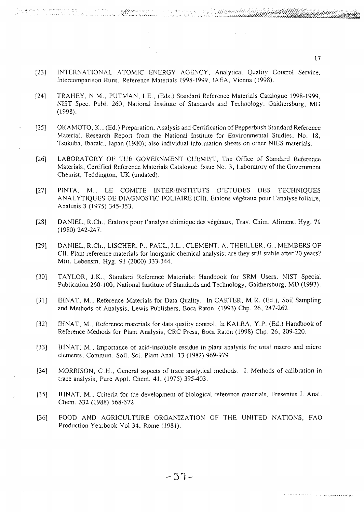[23] INTERNATIONAL ATOMIC ENERGY AGENCY, Analytical Quality Control Service, Intercomparison Runs, Reference Materials 1998-1999, IAEA, Vienna (1998).

a de Antonio de Marcio (1177)<br>Político de Antonio

- [24] TRAHEY, N.M.. PUTMAN, I.E., (Eds.) Standard Reference Materials Catalogue 1998-1999, NIST Spec. Publ. 260, National Institute of Standards and Technology, Gaithersburg, MD (1998).
- [25] OKAMOTO, K., (Ed.) Preparation, Analysis and Certification of Pepperbush Standard Reference Material, Research Report from the National Institute for Environmental Studies, No. 18, Tsukuba, Ibaraki, Japan (1980); also individual information sheets on other NIES materials.
- [26] LABORATORY OF THE GOVERNMENT CHEMIST, The Office of Standard Reference Materials, Certified Reference Materials Catalogue, Issue No. 3, Laboratory of the Government Chemist, Teddington, UK (undated).
- [27] PINTA, M., LE COMITE INTER-INSTITUTS D'ETUDES DES TECHNIQUES ANALYTIQUES DE DIAGNOSTIC FOLIAIRE (CII), Etalons vegetaux pour l'analyse foliaire, Analusis 3 (1975) 345-353.
- [28] DANIEL, R.Ch., Etalons pour 1'analyse chimique des vegetaux, Trav. Chim. Aliment. Hyg. 71 (1980) 242-247.
- [29] DANIEL, R.Ch., LISCHER, P., PAUL, J.L., CLEMENT, A. THEILLER, G., MEMBERS OF CII, Plant reference materials for inorganic chemical analysis; are they still stable after 20 years? Mitt. Lebensm. Hyg. 91 (2000) 333-344.
- [30] TAYLOR, J.K., Standard Reference Materials: Handbook for SRM Users. NIST Special Publication 260-100, National Institute of Standards and Technology, Gaithersburg, MD (1993).
- [31] IHNAT, M., Reference Materials for Data Quality. In CARTER, M.R. (Ed.), Soil Sampling and Methods of Analysis, Lewis Publishers, Boca Raton, (1993) Chp. 26, 247-262.
- [32] IHNAT, M., Reference materials for data quality control. In KALRA, Y.P. (Ed.) Handbook of Reference Methods for Plant Analysis, CRC Press, Boca Raton (1998) Chp. 26, 209-220.
- [33] IHNAT; M., Importance of acid-insoluble residue in plant analysis for total macro and micro elements, Commun. Soil. Sci. Plant Anal. 13 (1982) 969-979.
- [34] MORRISON, G.H., General aspects of trace analytical methods. I. Methods of calibration in trace analysis, Pure Appl. Chem. 41, (1975) 395-403.
- [35] IHNAT, M., Criteria for the development of biological reference materials, Fresenius J. Anal. Chem. 332 (1988) 568-572.
- [36] FOOD AND AGRICULTURE ORGANIZATION OF THE UNITED NATIONS, FAO Production Yearbook Vol 34, Rome (1981).

**31**

17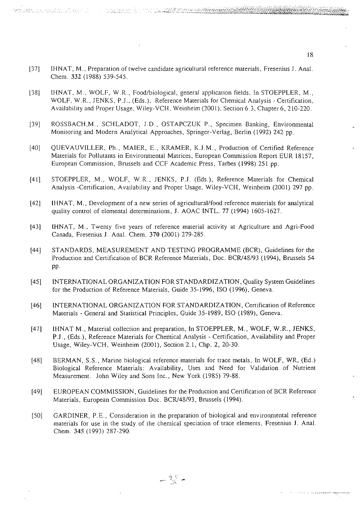[37] IHNAT, M., Preparation of twelve candidate agricultural reference materials, Fresenius J. Anal. Chem. 332 (1988) 539-545.

- [38] IHNAT. M.. WOLF, W.R., Food/biological, general application fields. In STOEPPLER. M., WOLF, W.R., JENKS, P.J., (Eds.), Reference Materials for Chemical Analysis - Certification, Availability and Proper Usage, Wiley-VCH. Weinheim (2001), Section 6.3, Chapter 6, 210-220.
- [39] ROSSBACH, M., SCHLADOT, J.D., OSTAPCZUK P., Specimen Banking, Environmental Monitoring and Modern Analytical Approaches, Springer-Verlag, Berlin (1992) 242 pp.
- [40] QUEVAUVILLER, Ph., MAIER, E., KRAMER, K.J.M., Production of Certified Reference Materials for Pollutants in Environmental Matrices, European Commission Report EUR 18157, European Commission, Brussels and CCF Academic Press, Tarbes (1998) 251 pp.
- [41] STOEPPLER, M., WOLF, W.R., JENKS, P.J. (Eds.), Reference Materials for Chemical Analysis -Certification, Availability and Proper Usage, Wiley-VCH, Weinheim (2001) 297 pp.
- [42] IHNAT, M., Development of a new series of agricultural/food reference materials for analytical quality control of elemental determinations, J. AOAC INTL. 77 (1994) 1605-1627.
- (43] IHNAT, M., Twenty five years of reference material activity at Agriculture and Agri-Food Canada, Fresenius J. Anal. Chem. 370 (2001) 279-285.
- [44] STANDARDS, MEASUREMENT AND TESTING PROGRAMME (BCR), Guidelines for the Production and Certification of BCR Reference Materials, Doc. BCR/48/93 (1994), Brussels 54 pp.
- [45] INTERNATIONAL ORGANIZATION FOR STANDARDIZATION, Quality System Guidelines for the Production of Reference Materials, Guide 35-1996, ISO (1996), Geneva.
- [46] INTERNATIONAL ORGANIZATION FOR STANDARDIZATION, Certification of Reference Materials - General and Statistical Principles, Guide 35-1989, ISO (1989), Geneva.
- [47] IHNAT M., Material collection and preparation, In STOEPPLER, M., WOLF, W.R., JENKS, P.J., (Eds.), Reference Materials for Chemical Analysis - Certification, Availability and Proper Usage, Wiley-VCH, Weinheim (2001), Section 2.1, Chp. 2, 20-30.
- [48] BERMAN, S.S., Marine biological reference materials for trace metals, In WOLF, WR, (Ed.) Biological Reference Materials: Availability, Uses and Need for Validation of Nutrient Measurement. John Wiley and Sons Inc., New York (1985) 79-88.
- [49] EUROPEAN COMMISSION, Guidelines for the Production and Certification of BCR Reference Materials, European Commission Doc. BCR/48/93, Brussels (1994).
- [50] GARDINER, P.E., Consideration in the preparation of biological and environmental reference materials for use in the study of the chemical speciation of trace elements, Fresenius J. Anal. Chem. 345 (1993) 287-290.

 $-25$ 

a sere de la parada a alemana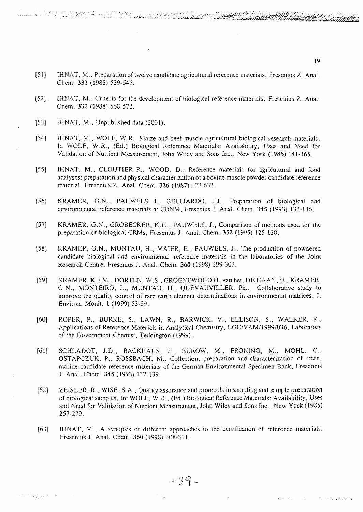- [51] IHNAT, M., Preparation of twelve candidate agricultural reference materials, Fresenius Z. Anal. Chem. 332 (1988) 539-545.
- [52] . IHNAT, M., Criteria for the development of biological reference materials, Fresenius Z. Anal. Chem. 332 (1988) 568-572.
- [53] IHNAT, M., Unpublished data (2001).

na mwaka 199

- [54] IHNAT, M., WOLF, W.R., Maize and beef muscle agricultural biological research materials, In WOLF, W.R., (Ed.) Biological Reference Materials: Availability, Uses and Need for Validation of Nutrient Measurement, John Wiley and Sons Inc., New York (1985) 141-165.
- [55] IHNAT, M.. CLOUTIER R., WOOD, D., Reference materials for agricultural and food analyses: preparation and physical characterization of a bovine muscle powder candidate reference material, Fresenius Z. Anal. Chem. 326 (1987) 627-633.
- [56] KRAMER, G.N., PAUWELS J., BELLIARDO, J.J., Preparation of biological and environmental reference materials at CBNM, Fresenius J. Anal. Chem. 345 (1993) 133-136.
- [57] KRAMER, G.N., GROBECKER, K.H., PAUWELS, J., Comparison of methods used for the preparation of biological CRMs, Fresenius J. Anal. Chem. 352 (1995) 125-130.
- [58] KRAMER, G.N., MUNTAU, H., MAIER, E., PAUWELS, J., The production of powdered candidate biological and environmental reference materials in the laboratories of the Joint Research Centre, Fresenius J. Anal. Chem. 360 (1998) 299-303.
- [59] KRAMER, K.J.M., DORTEN, W.S., GROENEWOUD H. vanhet, DE HAAN, E., KRAMER, G.N., MONTEIRO, L., MUNTAU, H., QUEVAUVILLER, Ph., Collaborative study to improve the quality control of rare earth element determinations in environmental matrices, J. Environ. Monit. 1 (1999) 83-89.
- [60] ROPER, P., BURKE, S., LAWN, R., BARWICK, V., ELLISON, S., WALKER, R., Applications of Reference Materials in Analytical Chemistry, LGC/VAM/1999/036, Laboratory of the Government Chemist, Teddington (1999).
- [61] SCHLADOT, J.D., BACKHAUS, F., BUROW, M., FRONING, M., MOHL, C , OSTAPCZUK, P., ROSSBACH, M., Collection, preparation and characterization of fresh, marine candidate reference materials of the German Environmental Specimen Bank, Fresenius J. Anal. Chem. 345 (1993) 137-139.
- [62] ZEISLER, R., WISE, S.A., Quality assurance and protocols in sampling and sample preparation of biological samples, In: WOLF, W.R., (Ed.) Biological Reference Materials: Availability, Uses and Need for Validation of Nutrient Measurement, John Wiley and Sons Inc., New York (1985) 257-279.
- [63] IHNAT, M., A synopsis of different approaches to the certification of reference materials, Fresenius J. Anal. Chem. 360 (1998) 308-311.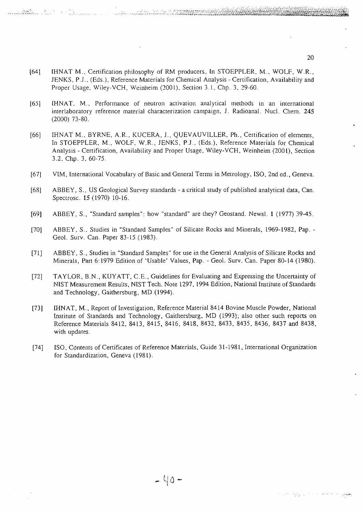[64] IHNAT M.. Certification philosophy of RM producers. In STOEPPLER, M., WOLF, W.R., JENKS, P.J., (Eds.), Reference Materials for Chemical Analysis - Certification, Availability and Proper Usage, Wiley-VCH, Weinheim (2001), Section 3.1, Chp. 3, 29-60.

<u> TRANSPORT (1999) – PRODUCT I DE PRODUCTION (1999)</u>

- [65] IHNAT. M., Performance of neutron activation analytical methods in an international interlaboratory reference material characterization campaign, J. Radioanal. Nucl. Chem. 245 (2000) 73-80.
- [66] IHNAT M., BYRNE, A.R., KUCERA, J., QUEVAUVILLER, Ph., Certification of elements, In STOEPPLER. M., WOLF, W.R., JENKS, P.J., (Eds.), Reference Materials for Chemical Analysis - Certification, Availability and Proper Usage, Wiley-VCH, Weinheim (2001), Section 3.2, Chp. 3, 60-75.
- [67] VIM, International Vocabulary of Basic and General Terms in Metrology, ISO, 2nd ed., Geneva.
- [68] ABBEY, S., US Geological Survey standards a critical study of published analytical data, Can. Spectrosc. 15 (1970) 10-16.
- [69] ABBEY, S., "Standard samples": how "standard" are they? Geostand. Newsl. 1 (1977) 39-45.
- [70] ABBEY, S., Studies in "Standard Samples" of Silicate Rocks and Minerals, 1969-1982, Pap. Geol. Surv. Can. Paper 83-15 (1983).
- [71] ABBEY, S., Studies in "Standard Samples" for use in the General Analysis of Silicate Rocks and Minerals, Part 6:1979 Edition of 'Usable' Values, Pap. - Geol. Surv. Can. Paper 80-14 (1980).
- [72] TAYLOR, B.N., KUYATT, C.E., Guidelines for Evaluating and Expressing the Uncertainty of NIST Measurement Results, NIST Tech. Note 1297, 1994 Edition, National Institute of Standards and Technology, Gaithersburg, MD (1994).
- [73] IHNAT, M., Report of Investigation, Reference Material 8414 Bovine Muscle Powder, National Institute of Standards and Technology, Gaithersburg, MD (1993); also other such reports on Reference Materials 8412, 8413, 8415, 8416, 8418, 8432, 8433, 8435, 8436, 8437 and 8438, with updates.
- [74] ISO, Contents of Certificates of Reference Materials, Guide 31-1981, International Organization for Standardization, Geneva (1981).

**20**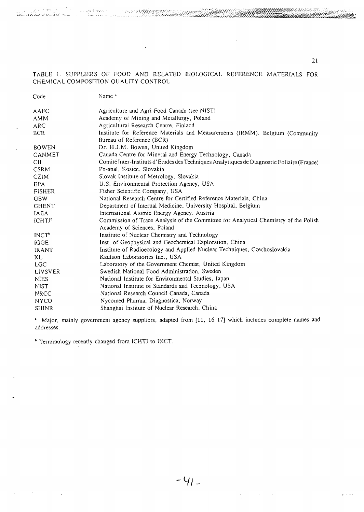TABLE 1. SUPPLIERS OF FOOD AND RELATED BIOLOGICAL REFERENCE MATERIALS FOR CHEMICAL COMPOSITION QUALITY CONTROL

 $\overline{a}$ 

| Code                    | Name <sup>2</sup>                                                                                                   |
|-------------------------|---------------------------------------------------------------------------------------------------------------------|
| AAFC                    | Agriculture and Agri-Food Canada (see NIST)                                                                         |
| <b>AMM</b>              | Academy of Mining and Metallurgy, Poland                                                                            |
| <b>ARC</b>              | Agricultural Research Centre, Finland                                                                               |
| <b>BCR</b>              | Institute for Reference Materials and Measurements (IRMM), Belgium (Community<br>Bureau of Reference (BCR)          |
| <b>BOWEN</b>            | Dr. H.J.M. Bowen, United Kingdom                                                                                    |
| CANMET                  | Canada Centre for Mineral and Energy Technology, Canada                                                             |
| CII                     | Comité Inter-Instituts d'Etudes des Techniques Analytiques de Diagnostic Foliaire (France)                          |
| <b>CSRM</b>             | Pb-anal, Kosice, Slovakia                                                                                           |
| CZIM                    | Slovak Institute of Metrology, Slovakia                                                                             |
| EPA                     | U.S. Environmental Protection Agency, USA                                                                           |
| <b>FISHER</b>           | Fisher Scientific Company, USA                                                                                      |
| <b>GBW</b>              | National Research Centre for Certified Reference Materials, China                                                   |
| <b>GHENT</b>            | Department of Internal Medicine, University Hospital, Belgium                                                       |
| <b>IAEA</b>             | International Atomic Energy Agency, Austria                                                                         |
| ICHTJ <sup>b</sup>      | Commission of Trace Analysis of the Committee for Analytical Chemistry of the Polish<br>Academy of Sciences, Poland |
| <b>INCT<sup>b</sup></b> | Institute of Nuclear Chemistry and Technology                                                                       |
| <b>IGGE</b>             | Inst. of Geophysical and Geochemical Exploration, China                                                             |
| <b>IRANT</b>            | Institute of Radioecology and Applied Nuclear Techniques, Czechoslovakia                                            |
| KL                      | Kaulson Laboratories Inc., USA                                                                                      |
| <b>LGC</b>              | Laboratory of the Government Chemist, United Kingdom                                                                |
| LIVSVER                 | Swedish National Food Administration, Sweden                                                                        |
| <b>NIES</b>             | National Institute for Environmental Studies, Japan                                                                 |
| NIST                    | National Institute of Standards and Technology, USA                                                                 |
| <b>NRCC</b>             | National Research Council Canada, Canada                                                                            |
| <b>NYCO</b>             | Nycomed Pharma, Diagnostica, Norway                                                                                 |
| SHINR                   | Shanghai Institute of Nuclear Research, China                                                                       |

1 Major, mainly government agency suppliers, adapted from (11, 16 17] which includes complete names and addresses.

<sup>b</sup> Terminology recently changed from ICHTJ to INCT.

 $\sim$   $\sim$ 

 $\label{eq:2.1} \frac{1}{2} \sum_{i=1}^n \frac{1}{2} \sum_{j=1}^n \frac{1}{2} \sum_{j=1}^n \frac{1}{2} \sum_{j=1}^n \frac{1}{2} \sum_{j=1}^n \frac{1}{2} \sum_{j=1}^n \frac{1}{2} \sum_{j=1}^n \frac{1}{2} \sum_{j=1}^n \frac{1}{2} \sum_{j=1}^n \frac{1}{2} \sum_{j=1}^n \frac{1}{2} \sum_{j=1}^n \frac{1}{2} \sum_{j=1}^n \frac{1}{2} \sum_{j=1}^n \frac{$ 

21

 $\mathbf{v}^{\star}$  , where  $\mathbf{v}$ 

<del>œœœ</del>

<u> Martin Mars</u>

 $\sim$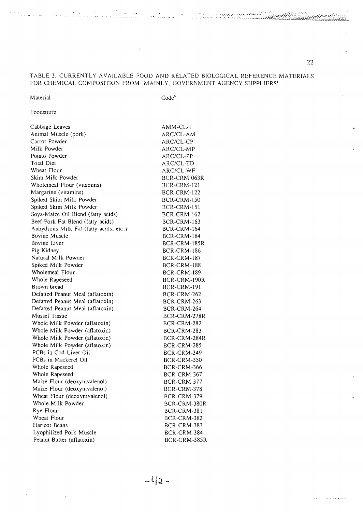# TABLE 2. CURRENTLY AVAILABLE FOOD AND RELATED BIOLOGICAL REFERENCE MATERIALS FOR CHEMICAL COMPOSITION FROM, MAINLY, GOVERNMENT AGENCY SUPPLIERS<sup>2</sup>

L.

#### Material

Code"

# Foodstuffs

| Cabbage Leaves                         | AMM-CL-1           |
|----------------------------------------|--------------------|
| Animal Muscle (pork)                   | ARC/CL-AM          |
| Carrot Powder                          | ARC/CL-CP          |
| Milk Powder                            | ARC/CL-MP          |
| Potato Powder                          | ARC/CL-PP          |
| Total Diet                             | ARC/CL-TD          |
| Wheat Flour                            | ARC/CL-WF          |
| Skim Milk Powder                       | BCR-CRM 063R       |
| Wholemeal Flour (vitamins)             | BCR-CRM-121        |
| Margarine (vitamins)                   | BCR-CRM-122        |
| Spiked Skim Milk Powder                | <b>BCR-CRM-150</b> |
| Spiked Skim Milk Powder                | BCR-CRM-151        |
| Soya-Maize Oil Blend (fatty acids)     | BCR-CRM-162        |
| Beef-Pork Fat Blend (fatty acids)      | <b>BCR-CRM-163</b> |
| Anhydrous Milk Fat (fatty acids, etc.) | <b>BCR-CRM-164</b> |
| <b>Bovine Muscle</b>                   | BCR-CRM-184        |
| Bovine Liver                           | BCR-CRM-185R       |
| Pig Kidney                             | BCR-CRM-186        |
| Natural Milk Powder                    | BCR-CRM-187        |
| Spiked Milk Powder                     | BCR-CRM-188        |
| Wholemeal Flour                        | BCR-CRM-189        |
| Whole Rapeseed                         | BCR-CRM-190R       |
| Brown bread                            | BCR-CRM-191        |
| Defatted Peanut Meal (aflatoxin)       | <b>BCR-CRM-262</b> |
| Defatted Peanut Meal (aflatoxin)       | BCR-CRM-263        |
| Defatted Peanut Meal (aflatoxin)       | BCR-CRM-264        |
| Mussel Tissue                          | BCR-CRM-278R       |
| Whole Milk Powder (aflatoxin)          | BCR-CRM-282        |
| Whole Milk Powder (aflatoxin)          | BCR-CRM-283        |
| Whole Milk Powder (aflatoxin)          | BCR-CRM-284R       |
| Whole Milk Powder (aflatoxin)          | BCR-CRM-285        |
| PCBs in Cod Liver Oil                  | BCR-CRM-349        |
| PCBs in Mackerel Oil                   | BCR-CRM-350        |
| Whole Rapeseed                         | BCR-CRM-366        |
| Whole Rapeseed                         | BCR-CRM-367        |
| Maize Flour (deoxynivalenol)           | BCR-CRM-377        |
| Maize Flour (deoxynivalenol)           | BCR-CRM-378        |
| Wheat Flour (deoxynivalenol)           | BCR-CRM-379        |
| Whole Milk Powder                      | BCR-CRM-380R       |
| Rye Flour                              | BCR-CRM-381        |
| Wheat Flour                            | BCR-CRM-382        |
| Haricot Beans                          | BCR-CRM-383        |
| Lyophilized Pork Muscle                | BCR-CRM-384        |
| Peanut Butter (aflatoxin)              | BCR-CRM-385R       |

 $\sim$ 

وللمتمردة الرويانية

kirar Roma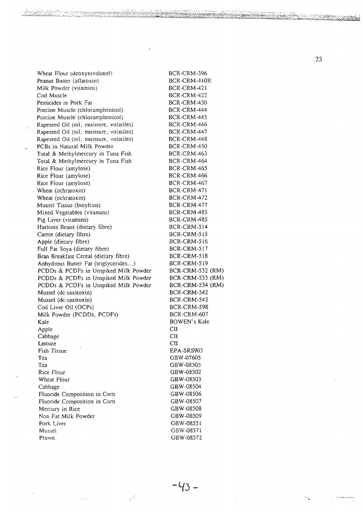Wheat Flou r (deoxynivalenol ) Peanut Butter (aflatoxin) Mil k Powde r (vitamins ) Co d Muscl e Pesticide s in Pork Fat Porcin e Muscl e (chloramphenicol ) Porcin e Muscl e (chloramphenicol ) Rapesee d Oi l (oil , moisture , volatiies ) Rapesee d Oi l (oil , moisture , volatiies ) Rapesee d Oi l (oil , moisture , volatiles ) PCB s in Natura l Mil k Powde r Tota l & Methylmercur y in Tun a Fis h Tota l & Methylmercur y in Tun a Fis h Ric e Flou r (amylose ) Ric e Flou r (amylose ) Ric e Flou r (amylose ) Wheat (ochratoxin ) Wheat (ochratoxin ) Musse l Tissu e (butyitins ) Mixe d Vegetable s (vitamins ) Pig Liver (vitamins) Haricot s Bean s (dietar y fibre) Carro t (dietar y fibre ) Appl e (dietar y fibre ) Ful l Fat Soy a (dietar y fibre ) Bran Breakfas t Cerea l (dietar y fibre ) Anhydrou s Butte r Fat (triglycerides... ) PCDD s & PCDF s i n Unspike d Mil k Powde r PCDD s & PCDF s i n Unspike d Mil k Powde r PCDD s & PCDF s i n Unspike d Mil k Powde r Musse l (dc-saxitoxin ) Musse l (dc-saxitoxin ) Co d Live r Oi l (OCPs ) Mil k Powde r (PCDDs , PCDFs ) Kal e Appl e Cabbag e Lettuce Fis h Tissu e Te a Te a Ric e Flou r Wheat Flou r Cabbag e Fluoride Compositio n i n Cor n Fluoride Compositio n in Cor n Mercury in Ric e No n Fat Mil k Powde r Pork Live r Musse l Praw n BCR-CRM-39 6 BCR-CRM-410 R BCR-CRM-42 1 BCR-CRM-42 2 BCR-CRM-43 0 BCR-CRM-44 4 BCR-CRM-44 5 BCR-CRM-44 6 BCR-CRM-44 7 BCR-CRM-44 8 BCR-CRM-45 0 BCR-CRM-46 3 BCR-CRM-46 4 BCR-CRM-46 5 BCR-CRM-46 6 BCR-CRM-46 7 BCR-CRM-47 1 BCR-CRM-47 2 BCR-CRM-47 7 BCR-CRM-48 5 BCR-CRM-48 5 BCR-CRM-51 4 BCR-CRM-51 5 BCR-CRM-51 6 BCR-CRM-51 7 BCR-CRM-51 8 BCR-CRM-51 9 BCR-CRM-53 2 (RM ) BCR-CRM-53 3 (RM ) BCR-CRM-53 4 (RM ) BCR-CRM-54 2 BCR-CRM-54 3 BCR-CRM-59 8 BCR-CRM-60 7 BOWEN' s Kal e CI I CI I CI I EPA-SRS90 3 GBW-0760 5 GBW-0850 5 GBW-0850 2 GBW-0850 3 GBW-0850 4 GBW-0850 6 GBW-0850 7 GBW-0850 8 GBW-0850 9 GBW-0855 1 GBW-0857 1 GBW-0857 2

ž.

**2 3**

*x ^ ^*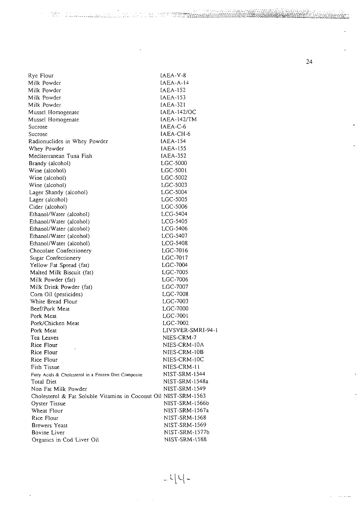Ry e Flou r Mil k Powde r Mil k Powde r Mil k Powde r Mil k Powde r Musse l Homogenat e Musse l Homogenat e Sucros e Sucros e Radionuclide s in Whe y Powde r Whe y Powde r Mediterranea n Tun a Fis h Brandy (alcohol ) Win e (alcohol ) Win e (alcohol ) Win e (alcohol ) Lage r Shand y (alcohol ) Lage r (alcohol ) Cide r (alcohol ) Ethanol/Water (alcohol) Ethanol/Wate r (alcohol ) Ethanol/Wate r (alcohol ) Ethanol/Wate r (alcohol ) Ethanol/Water (alcohol) Chocolat e Confectioner y Sugar Confectioner y Yellow Fat Spread (fat) Malted Milk Biscuit (fat) Mil k Powde r (fat ) Mil k Drin k Powde r (fat ) Co m Oi l (pesticides ) Whit e Bread Flou r Beef/Pork Meat Pork Meat Pork/Chicke n Meat Pork Meat Te a Leave s Ric e Flou r Ric e Flou r Ric e Flou r Fis h Tissu e Fatty Acids & Cholesterol in a Frozen Diet Composite Tota l Diet No n Fat Mil k Powde r Cholesterol & Fat Soluble Vitamins in Coconut Oil NIST-SRM-1563 Oyste r Tissu e Wheat Flou r Ric e Flou r Brewer s Yeas t Bovin e Live r IAEA-V-8 IAEA-A-1 4 IAEA-15 2 IAEA-15 3 1AEA-32 1 IAEA-142/O C [AEA-142/T M IAEA-C-6 [AEA-CH-6 IAEA-15 4 IAEA-15 5 IAEA-35 2 LGC-500 0 LGC-500 1 LGC-500 2 LGC-500 3 LGC-500 4 LGC-500 5 LGC-500 6 LCG-540 4 LCG-540 5  $ICG-5406$ LCG-540 7  $C<sub>G</sub>$ -5408  $LC - 7016$  $LC - 7017$ LGC-700 4  $5 - 7005$ LGC-700 6 LGC-700 7 LGC-700 8 LGC-700 3 LGC-700 0 LGC-700 1 200 1001<br>2002 7002 LIVSVER-SMRI-94- 1 NIES-CRM-7 NIES-CRM-10 A NIES-CRM-10 B NIES-CRM-IO C NIES-CRM-11 NIST-SRM-154 4 NIST-SRM-1548 a NIST-SRM-154 9 NIST-SRM-1566 b NIST-SRM-l567 a NIST-SRM-156 8 NIST-SRM-156 9 NlST-SRM-1577 b NlST-SRM-158 8

an dalam ye te<del>kên</del>

a taka wa kutoka wa Marejeo

Organic s i n Co d Live r Oi l

**2 4**

يتواردون

**• M -**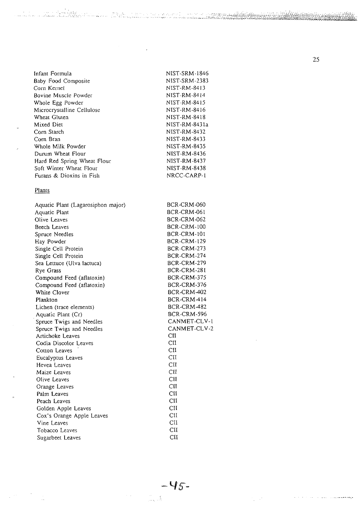Infant Formul a Bab y Foo d Composit e Co m Kerne l Bovin e Muscl e Powde r Whol e Eg g Powde r Microcrystallin e Cellulos e Wheat Glute n Mixe d Die t Cor n Starc h Cor n Bran Whol e Mil k Powde r Duru m Wheat Flou r Hard Re d Sprin g Wheat Flou r Soft Winte r Wheat Flou r Furans & Dioxins in Fish NlST-SRM-184 6 NIST-SRM-238 3 NIST-RM-841 3 NIST-RM-841 4 NIST-RM-841 5 NIST-RM-841 6 NIST-RM-841 8 NIST-RM-8431 a NIST-RM-843 2 N1ST-RM-843 3 NlST-RM-843 5 NIST-RM-843 6 NIST-RM-843 7 NlST-RM-843 8 NRCC-CARP-l

23.85

t marktur van de S

 $\mathcal{A} \neq \mathcal{A}$  ,  $\mathcal{A} \neq \mathcal{A}$  ,  $\mathcal{A} \neq \mathcal{A}$ 

Species as an

#### <u>Plants</u>

| Aquatic Plant (Lagarosiphon major) | BCR-CRM-060        |
|------------------------------------|--------------------|
| Aquatic Plant                      | BCR-CRM-061        |
| Olive Leaves                       | <b>BCR-CRM-062</b> |
| <b>Beech Leaves</b>                | <b>BCR-CRM-100</b> |
| Spruce Needles                     | BCR-CRM-101        |
| Hay Powder                         | <b>BCR-CRM-129</b> |
| Single Cell Protein                | BCR-CRM-273        |
| Single Cell Protein                | BCR-CRM-274        |
| Sea Lettuce (Ulva lactuca)         | <b>BCR-CRM-279</b> |
| Rye Grass                          | BCR-CRM-281        |
| Compound Feed (aflatoxin)          | BCR-CRM-375        |
| Compound Feed (aflatoxin)          | BCR-CRM-376        |
| White Clover                       | BCR-CRM-402        |
| Plankton                           | BCR-CRM-414        |
| Lichen (trace elements)            | BCR-CRM-482        |
| Aquatic Plant (Cr)                 | <b>BCR-CRM-596</b> |
| Spruce Twigs and Needles           | CANMET-CLV-1       |
| Spruce Twigs and Needles           | CANMET-CLV-2       |
| Artichoke Leaves                   | CII                |
| Codia Discolor Leaves              | CII                |
| Cotton Leaves                      | CII                |
| Eucalyptus Leaves                  | CII                |
| Hevea Leaves                       | CII                |
| Maize Leaves                       | CII                |
| Olive Leaves                       | CII                |
| Orange Leaves                      | $CI$               |
| Palm Leaves                        | <b>CII</b>         |
| Peach Leaves                       | CII                |
| Golden Apple Leaves                | CII                |
| Cox's Orange Apple Leaves          | <b>CII</b>         |
| Vine Leaves                        | <b>CII</b>         |
| Tobacco Leaves                     | <b>CII</b>         |
| Sugarbeet Leaves                   | <b>CH</b>          |
|                                    |                    |

**2 5**

 $\chi^2$ 

 $\mathbb{Z}^{\mathbb{Z}}$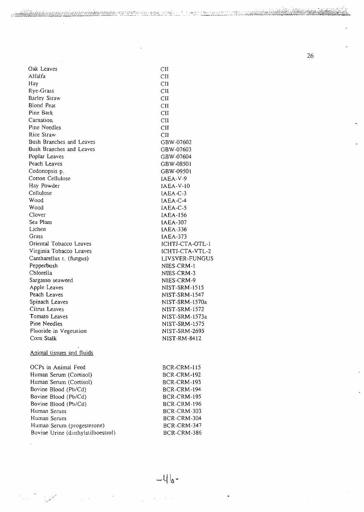**26**

elejo

 $.4933333333333323$ 

| Oak Leaves                         | <b>CII</b>         |
|------------------------------------|--------------------|
| Alfalfa                            | CII                |
| Hay                                | <b>CII</b>         |
| Rye-Grass                          | CII                |
| Barley Straw                       | <b>CII</b>         |
| Blond Peat                         | <b>CII</b>         |
| Pine Bark                          | <b>CII</b>         |
| Carnation                          | <b>CII</b>         |
| Pine Needles                       | <b>CII</b>         |
| Rice Straw                         | <b>CII</b>         |
| Bush Branches and Leaves           | GBW-07602          |
| Bush Branches and Leaves           | GBW-07603          |
| Poplar Leaves                      | GBW-07604          |
| Peach Leaves                       | GBW-08501          |
| Codonopsis p.                      | GBW-09501          |
| Cotton Cellulose                   | IAEA V-9           |
| Hay Powder                         | $IAEA-V-10$        |
| Cellulose                          | $IAEA-C-3$         |
| Wood                               | IAEA-C-4           |
| Wood                               | $IAEA-C-5$         |
| Clover                             | IAEA-156           |
| Sea Plant                          | <b>IAEA-307</b>    |
| Lichen                             | <b>IAEA-336</b>    |
| Grass                              | <b>IAEA-373</b>    |
| Oriental Tobacco Leaves            | ICHTJ-CTA-OTL-1    |
| Virginia Tobacco Leaves            | ICHTJ-CTA-VTL-2    |
| Cantharellus t. (fungus)           | LIVSVER-FUNGUS     |
| Pepperbush                         | NIES-CRM-1         |
| Chlorella                          | NIES-CRM-3         |
| Sargasso seaweed                   | NIES-CRM-9         |
| Apple Leaves                       | NIST-SRM-1515      |
| Peach Leaves                       | NIST-SRM-1547      |
| Spinach Leaves                     | NIST-SRM-1570a     |
| Citrus Leaves                      | NIST-SRM-1572      |
| Tomato Leaves                      | NIST-SRM-1573a     |
| Pine Needles                       | NIST-SRM-1575      |
| Fluoride in Vegetation             | NIST-SRM-2695      |
| Com Stalk                          | NIST-RM-8412       |
|                                    |                    |
| Animal tissues and fluids          |                    |
| OCPs in Animal Feed                | BCR-CRM-115        |
| Human Serum (Cortisol)             | <b>BCR-CRM-192</b> |
| Human Serum (Cortisol)             | <b>BCR-CRM-193</b> |
| Bovine Blood (Pb/Cd)               | <b>BCR-CRM-194</b> |
| Bovine Blood (Pb/Cd)               | BCR-CRM-195        |
| Bovine Blood (Pb/Cd)               | <b>BCR-CRM-196</b> |
| Human Serum                        | BCR-CRM-303        |
| Human Serum                        | BCR-CRM-304        |
| Human Serum (progesterone)         | BCR-CRM-347        |
| Bovine Urine (diethylstilboestrol) | BCR-CRM-386        |
|                                    |                    |

alayaya keca

. S 55 حنوبها

 $\sim 10^7$ 

 $\mathbb{R}^2$ 

 $\ddot{\phantom{a}}$ 

أتنبيت

معنى إ

 $\mathcal{A}=\frac{1}{2} \sqrt{1-\frac{1}{2}}$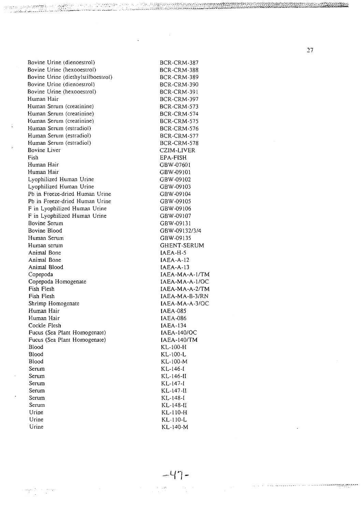Bovine Urine (dienoestrol) Bovine Urine (hexooestrol) Bovine Urine (diethylstilboestrol) Bovine Urine (dienoestrol) Bovine Urine (hexooestrol) Human Hair Human Serum (creatinine) Human Serum (creatinine) Human Serum (creatinine) Human Serum (estradiol) Human Serum (estradiol) Human Serum (estradiol) Bovine Liver Fish Human Hair Human Hair Lyophilized Human Urine Lyophilized Human Urine Pb in Freeze-dried Human Urine Pb in Freeze-dried Human Urine F in Lyophilized Human Urine F in Lyophilized Human Urine Bovine Serum Bovine Blood Human Serum Human serum Animal Bone Animal Bone Animal Blood Copepoda Copepoda Homogenate Fish Flesh Fish Flesh Shrimp Homogenate Human Hair Human Hair Cockle Flesh Fucus (Sea Plant Homogenate) Fucus (Sea Plant Homogenate) Blood Blood Blood Serum Serum Serum Serum Serum Serum Urine Urine

BCR-CRM-387 BCR-CRM-388 BCR-CRM-389 BCR-CRM-390 BCR-CRM-391 BCR-CRM-397 BCR-CRM-573 BCR-CRM-574 BCR-CRM-575 BCR-CRM-576 BCR-CRM-577 BCR-CRM-578 CZIM-LIVER EPA-FISH GBW-07601 GBW-09101 GBW-09102 GBW-09103 GBW-09104 GBW-09105 GBW-09106 GBW-09107 GBW-09131 GBW-09132/3/4 GBW-09135 GHENT-SERUM IAEA-H-5 IAEA-A-12 IAEA-A-13 IAEA-MA-A-l/TM IAEA-MA-A-l/OC IAEA-MA-A-2/TM IAEA-MA-B-3/RN IAEA-MA-A-3/0C IAEA-085 IAEA-086 IAEA-134 IAEA-140/OC IAEA-I40/TM KL-100-H KL-100-L KL-100-M KL-146-I KL-146-II KL-147-I KL-147-II KL-148-I KL-148-1I KL-110-H KL-110-L KL-140-M

والمؤوديهم والدد

**HARRYTTEL** 

<u> Mario Liberal de Latina (</u>

حدثكم والمتوارس

**27**

en de la provincia de la provincia de la provincia de la provincia de la provincia del provincia del

**ai»^££S£^£^>><»\*\*«gS^**

Urine

 $-47-$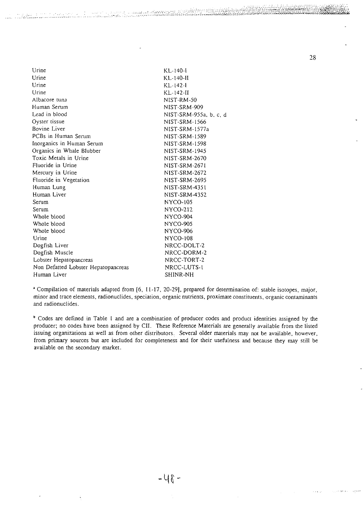| Urine                               | $KL-140-I$             |
|-------------------------------------|------------------------|
| Urine                               | KL-140-II              |
| Urine                               | $KL-142-1$             |
| Urine                               | KL-142-II              |
| Albacore tuna                       | NIST-RM-50             |
| Human Serum                         | NIST-SRM-909           |
| Lead in blood                       | NIST-SRM-955a, b, c, d |
| Oyster tissue                       | NIST-SRM-1566          |
| Bovine Liver                        | NIST-SRM-1577a         |
| PCBs in Human Serum                 | NIST-SRM-1589          |
| Inorganics in Human Serum           | NIST-SRM-1598          |
| Organics in Whale Blubber           | NIST-SRM-1945          |
| Toxic Metals in Urine               | NIST-SRM-2670          |
| Fluoride in Urine                   | NIST-SRM-2671          |
| Mercury in Urine                    | NIST-SRM-2672          |
| Fluoride in Vegetation              | NIST-SRM-2695          |
| Human Lung                          | NIST-SRM-4351          |
| Human Liver                         | NIST-SRM-4352          |
| Serum                               | NYCO-105               |
| Serum                               | NYCO-212               |
| Whole blood                         | NYCO-904               |
| Whole blood                         | <b>NYCO-905</b>        |
| Whole blood                         | NYCO-906               |
| Urine                               | <b>NYCO-108</b>        |
| Dogfish Liver                       | NRCC-DOLT-2            |
| Dogfish Muscle                      | NRCC-DORM-2            |
| Lobster Hepatopancreas              | NRCC-TORT-2            |
| Non Defatted Lobster Hepatopancreas | NRCC-LUTS-1            |
| Human Liver                         | SHINR-NH               |
|                                     |                        |

<sup>a</sup> Compilation of materials adapted from [6, 11-17, 20-29], prepared for determination of: stable isotopes, major, minor and trace elements, radionuclides, speciation, organic nutrients, proximate constituents, organic contaminants and radionuclides.

<sup>b</sup> Codes are defined in Table 1 and are a combination of producer codes and product identities assigned by the producer; no codes have been assigned by CII. These Reference Materials are generally available from the listed issuing organizations as well as from other distributors. Several older materials may not be available, however, from primary sources but are included for completeness and for their usefulness and because they may still be available on the secondary market.

28

 $-448-$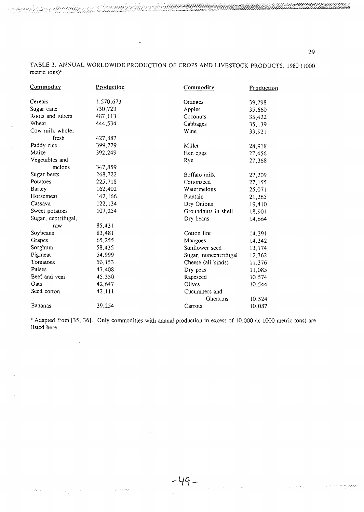TABLE 3. ANNUAL WORLDWIDE PRODUCTION OF CROPS AND LIVESTOCK PRODUCTS, 1980 (1000 metric tons)\*

<u> KARAMAN DI SHILI SAKA</u>

 $\ddot{\phantom{1}}$ 

وَمِنْ ٱلْأَمْرَةِ الْكَرْبَةِ إِلَى الْمَرْكَةِ الْكَلْمُ الْمَرْكَةِ وَكَانَ الْمَرْكَةِ وَمَنْ الْمَرْكَةِ وَمَ<br>الْمَحْمَدِ الْمَحْمَدِ الْمَحْمَدِ الْمَحْمَدِ الْمَحْمَدِ الْمَحْمَدِ الْمَحْمَدِ الْمَحْمَدِ الْمَحْ

 $\overline{\phantom{a}}$ 

 $\label{eq:2} \mathcal{O}(\log n) \leq \frac{1}{n} \sum_{i=1}^n \frac{1}{n} \sum_{i=1}^n \frac{1}{n} \sum_{j=1}^n \frac{1}{n} \sum_{i=1}^n \frac{1}{n} \sum_{i=1}^n \frac{1}{n} \sum_{j=1}^n \frac{1}{n} \sum_{j=1}^n \frac{1}{n} \sum_{j=1}^n \frac{1}{n} \sum_{j=1}^n \frac{1}{n} \sum_{j=1}^n \frac{1}{n} \sum_{j=1}^n \frac{1}{n} \sum_{j=1}^n \frac{1}{n} \$ 

| Commodity           | Production | <b>Commodity</b>      | Production |
|---------------------|------------|-----------------------|------------|
| Cereals             | 1,570,673  | Oranges               | 39,798     |
| Sugar cane          | 730,723    | Apples                | 35,660     |
| Roots and tubers    | 487,113    | Coconuts              | 35,422     |
| Wheat               | 444,534    | Cabbages              | 35,139     |
| Cow milk whole,     |            | Wine                  | 33,921     |
| fresh               | 427,887    |                       |            |
| Paddy rice          | 399,779    | Millet                | 28,918     |
| Maize               | 392,249    | Hen eggs              | 27,456     |
| Vegetables and      |            | Rye                   | 27,368     |
| melons              | 347,859    |                       |            |
| Sugar beets         | 268,722    | Buffalo milk          | 27,209     |
| Potatoes            | 225,718    | Cottonseed            | 27,155     |
| Barley              | 162,402    | Watermelons           | 25,071     |
| Horsemeat           | 142,166    | Plantain              | 21,265     |
| Cassava             | 122,134    | Dry Onions            | 19,410     |
| Sweet potatoes      | 107,254    | Groundnuts in shell   | 18,901     |
| Sugar, centrifugal, |            | Dry beans             | 14,664     |
| raw                 | 85,431     |                       |            |
| Soybeans            | 83,481     | Cotton lint           | 14,391     |
| Grapes              | 65,255     | Mangoes               | 14,342     |
| Sorghum             | 58,435     | Sunflower seed        | 13,174     |
| Pigmeat             | 54,999     | Sugar, noncentrifugal | 12,362     |
| Tomatoes            | 50,153     | Cheese (all kinds)    | 11,376     |
| Pulses              | 47,408     | Dry peas              | 11,085     |
| Beef and veal       | 45,350     | Rapeseed              | 10,574     |
| Oats                | 42,647     | Olives                | 10,544     |
| Seed cotton         | 42,111     | Cucumbers and         |            |
|                     |            | Gherkins              | 10,524     |
| Bananas             | 39,254     | Carrots               | 10,087     |

\* Adapted from [35, 36]. Only commodities with annual production in excess of 10,000 (x 1000 metric tons) are listed here.

 $-49-$ 

29

and completely and a series of the state of the series of the series of the series of the series of the series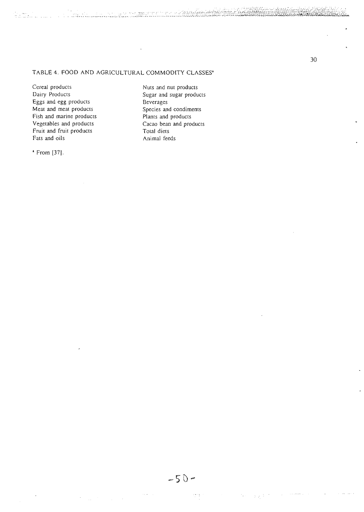an an I

TABLE 4. FOOD AND AGRICULTURAL COMMODITY CLASSES'

Cereal products<br>
Dairy Products<br>
Dairy Products<br>
Current Sugar and sugar products Eggs and egg products Beverages<br>
Meat and meat products Species and Fish and marine products Plants and products Vegetables and products Cacao bean and products Fruit and fruit products<br>Fats and oils

a From [37].

Sugar and sugar products Species and condiments Animal feeds

**30**

ņp

 $\frac{1}{2}$  ,  $\frac{1}{2}$  ,  $\frac{1}{2}$  ,

Ċ,